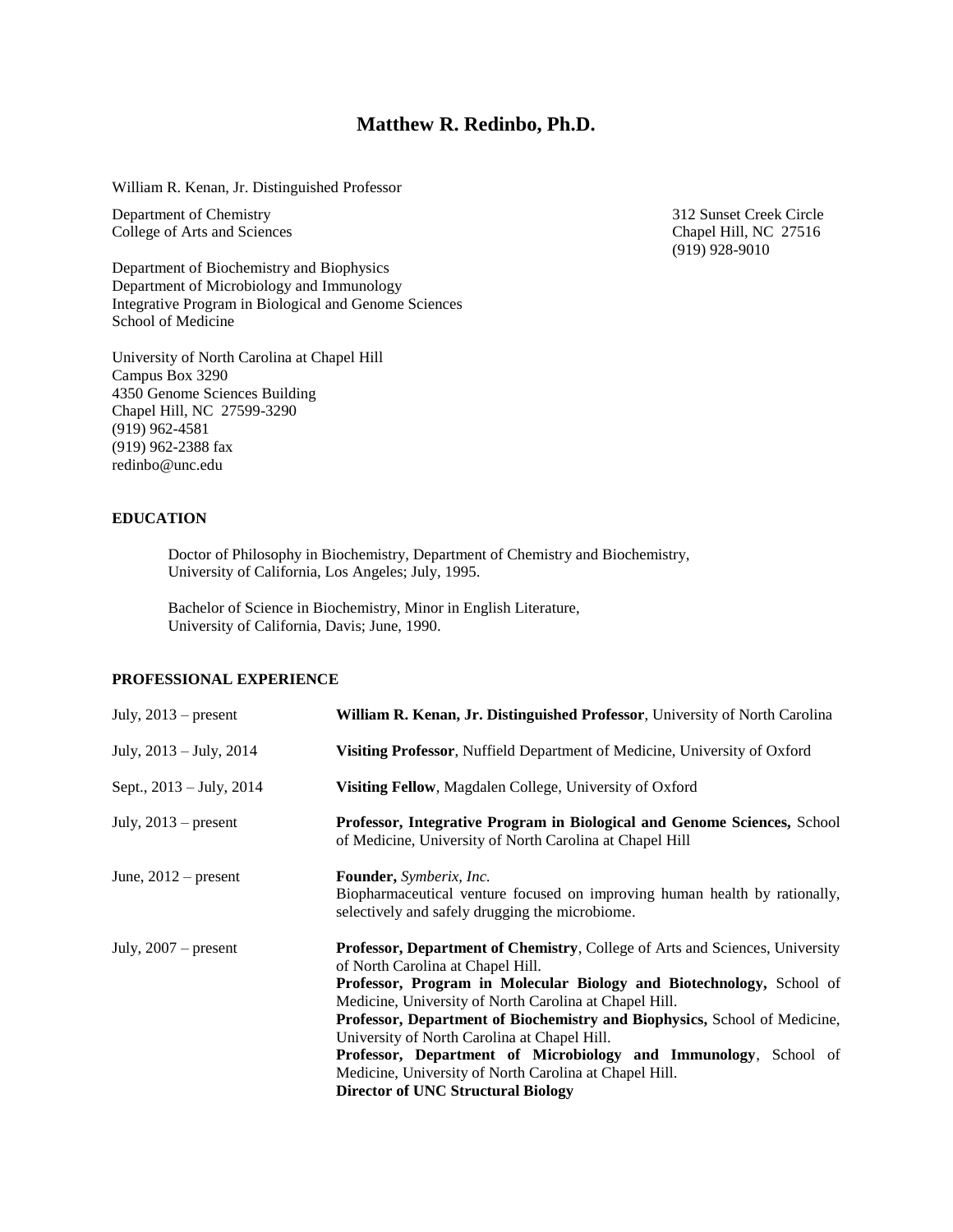# **Matthew R. Redinbo, Ph.D.**

William R. Kenan, Jr. Distinguished Professor

Department of Chemistry<br>
College of Arts and Sciences<br>
Chapel Hill, NC 27516 College of Arts and Sciences

Department of Biochemistry and Biophysics Department of Microbiology and Immunology Integrative Program in Biological and Genome Sciences School of Medicine

University of North Carolina at Chapel Hill Campus Box 3290 4350 Genome Sciences Building Chapel Hill, NC 27599-3290 (919) 962-4581 (919) 962-2388 fax redinbo@unc.edu

**EDUCATION**

Doctor of Philosophy in Biochemistry, Department of Chemistry and Biochemistry, University of California, Los Angeles; July, 1995.

Bachelor of Science in Biochemistry, Minor in English Literature, University of California, Davis; June, 1990.

# **PROFESSIONAL EXPERIENCE**

| William R. Kenan, Jr. Distinguished Professor, University of North Carolina                                                                                                                                                                                                                                                                                                                                                                                                                                                                                |
|------------------------------------------------------------------------------------------------------------------------------------------------------------------------------------------------------------------------------------------------------------------------------------------------------------------------------------------------------------------------------------------------------------------------------------------------------------------------------------------------------------------------------------------------------------|
| Visiting Professor, Nuffield Department of Medicine, University of Oxford                                                                                                                                                                                                                                                                                                                                                                                                                                                                                  |
| Visiting Fellow, Magdalen College, University of Oxford                                                                                                                                                                                                                                                                                                                                                                                                                                                                                                    |
| Professor, Integrative Program in Biological and Genome Sciences, School<br>of Medicine, University of North Carolina at Chapel Hill                                                                                                                                                                                                                                                                                                                                                                                                                       |
| <b>Founder</b> , <i>Symberix</i> , <i>Inc.</i><br>Biopharmaceutical venture focused on improving human health by rationally,<br>selectively and safely drugging the microbiome.                                                                                                                                                                                                                                                                                                                                                                            |
| Professor, Department of Chemistry, College of Arts and Sciences, University<br>of North Carolina at Chapel Hill.<br>Professor, Program in Molecular Biology and Biotechnology, School of<br>Medicine, University of North Carolina at Chapel Hill.<br>Professor, Department of Biochemistry and Biophysics, School of Medicine,<br>University of North Carolina at Chapel Hill.<br>Professor, Department of Microbiology and Immunology, School of<br>Medicine, University of North Carolina at Chapel Hill.<br><b>Director of UNC Structural Biology</b> |
|                                                                                                                                                                                                                                                                                                                                                                                                                                                                                                                                                            |

(919) 928-9010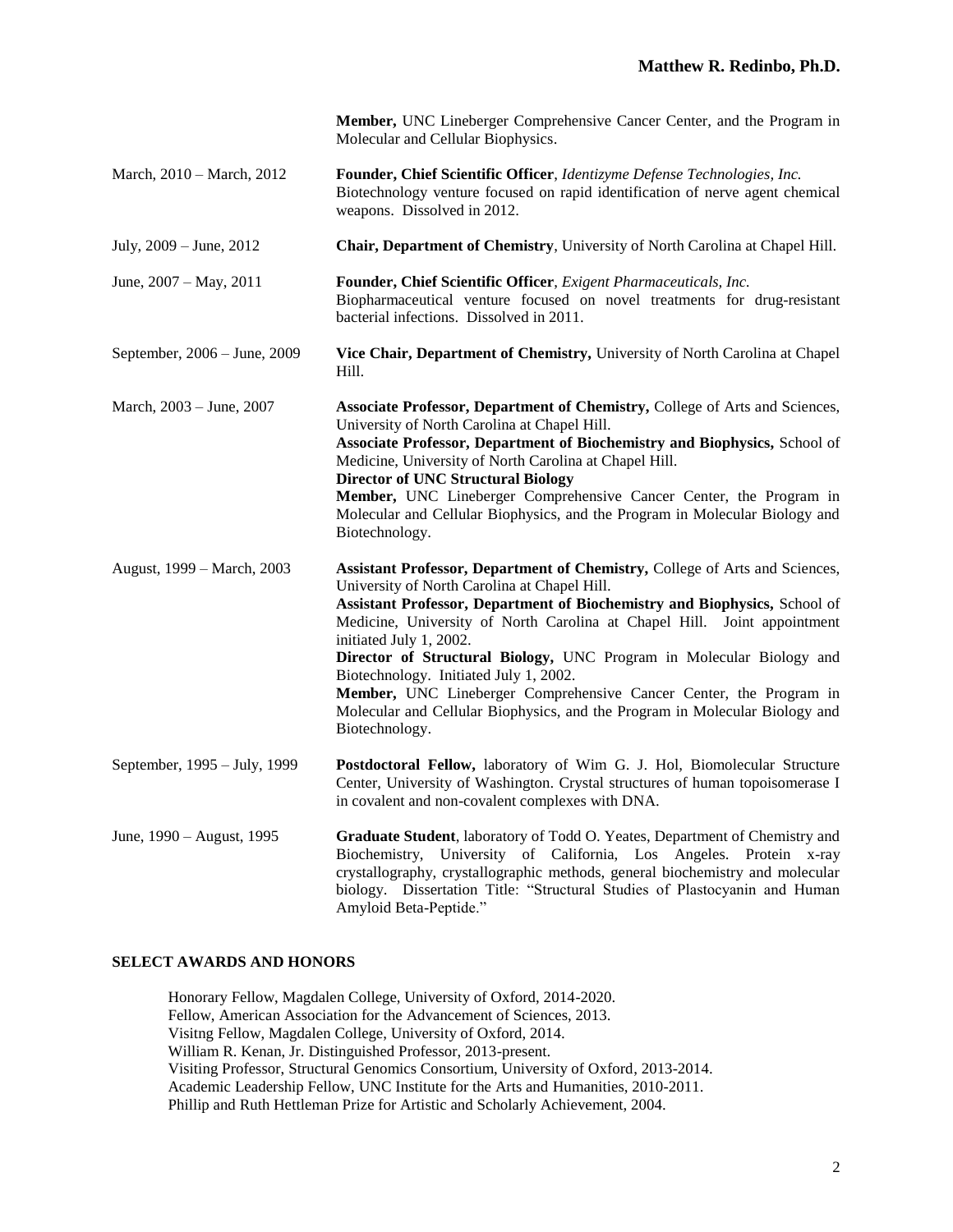|                              | Member, UNC Lineberger Comprehensive Cancer Center, and the Program in<br>Molecular and Cellular Biophysics.                                                                                                                                                                                                                                                                                                                                                                                                                                                                                             |
|------------------------------|----------------------------------------------------------------------------------------------------------------------------------------------------------------------------------------------------------------------------------------------------------------------------------------------------------------------------------------------------------------------------------------------------------------------------------------------------------------------------------------------------------------------------------------------------------------------------------------------------------|
| March, 2010 – March, 2012    | Founder, Chief Scientific Officer, Identizyme Defense Technologies, Inc.<br>Biotechnology venture focused on rapid identification of nerve agent chemical<br>weapons. Dissolved in 2012.                                                                                                                                                                                                                                                                                                                                                                                                                 |
| July, 2009 - June, 2012      | Chair, Department of Chemistry, University of North Carolina at Chapel Hill.                                                                                                                                                                                                                                                                                                                                                                                                                                                                                                                             |
| June, 2007 - May, 2011       | Founder, Chief Scientific Officer, Exigent Pharmaceuticals, Inc.<br>Biopharmaceutical venture focused on novel treatments for drug-resistant<br>bacterial infections. Dissolved in 2011.                                                                                                                                                                                                                                                                                                                                                                                                                 |
| September, 2006 - June, 2009 | Vice Chair, Department of Chemistry, University of North Carolina at Chapel<br>Hill.                                                                                                                                                                                                                                                                                                                                                                                                                                                                                                                     |
| March, 2003 – June, 2007     | Associate Professor, Department of Chemistry, College of Arts and Sciences,<br>University of North Carolina at Chapel Hill.<br>Associate Professor, Department of Biochemistry and Biophysics, School of<br>Medicine, University of North Carolina at Chapel Hill.<br><b>Director of UNC Structural Biology</b><br>Member, UNC Lineberger Comprehensive Cancer Center, the Program in<br>Molecular and Cellular Biophysics, and the Program in Molecular Biology and<br>Biotechnology.                                                                                                                   |
| August, 1999 – March, 2003   | Assistant Professor, Department of Chemistry, College of Arts and Sciences,<br>University of North Carolina at Chapel Hill.<br>Assistant Professor, Department of Biochemistry and Biophysics, School of<br>Medicine, University of North Carolina at Chapel Hill. Joint appointment<br>initiated July 1, 2002.<br>Director of Structural Biology, UNC Program in Molecular Biology and<br>Biotechnology. Initiated July 1, 2002.<br>Member, UNC Lineberger Comprehensive Cancer Center, the Program in<br>Molecular and Cellular Biophysics, and the Program in Molecular Biology and<br>Biotechnology. |
| September, 1995 – July, 1999 | Postdoctoral Fellow, laboratory of Wim G. J. Hol, Biomolecular Structure<br>Center, University of Washington. Crystal structures of human topoisomerase I<br>in covalent and non-covalent complexes with DNA.                                                                                                                                                                                                                                                                                                                                                                                            |
| June, 1990 – August, 1995    | Graduate Student, laboratory of Todd O. Yeates, Department of Chemistry and<br>Biochemistry, University of California, Los Angeles. Protein x-ray<br>crystallography, crystallographic methods, general biochemistry and molecular<br>biology. Dissertation Title: "Structural Studies of Plastocyanin and Human<br>Amyloid Beta-Peptide."                                                                                                                                                                                                                                                               |

# **SELECT AWARDS AND HONORS**

Honorary Fellow, Magdalen College, University of Oxford, 2014-2020. Fellow, American Association for the Advancement of Sciences, 2013. Visitng Fellow, Magdalen College, University of Oxford, 2014. William R. Kenan, Jr. Distinguished Professor, 2013-present. Visiting Professor, Structural Genomics Consortium, University of Oxford, 2013-2014. Academic Leadership Fellow, UNC Institute for the Arts and Humanities, 2010-2011. Phillip and Ruth Hettleman Prize for Artistic and Scholarly Achievement, 2004.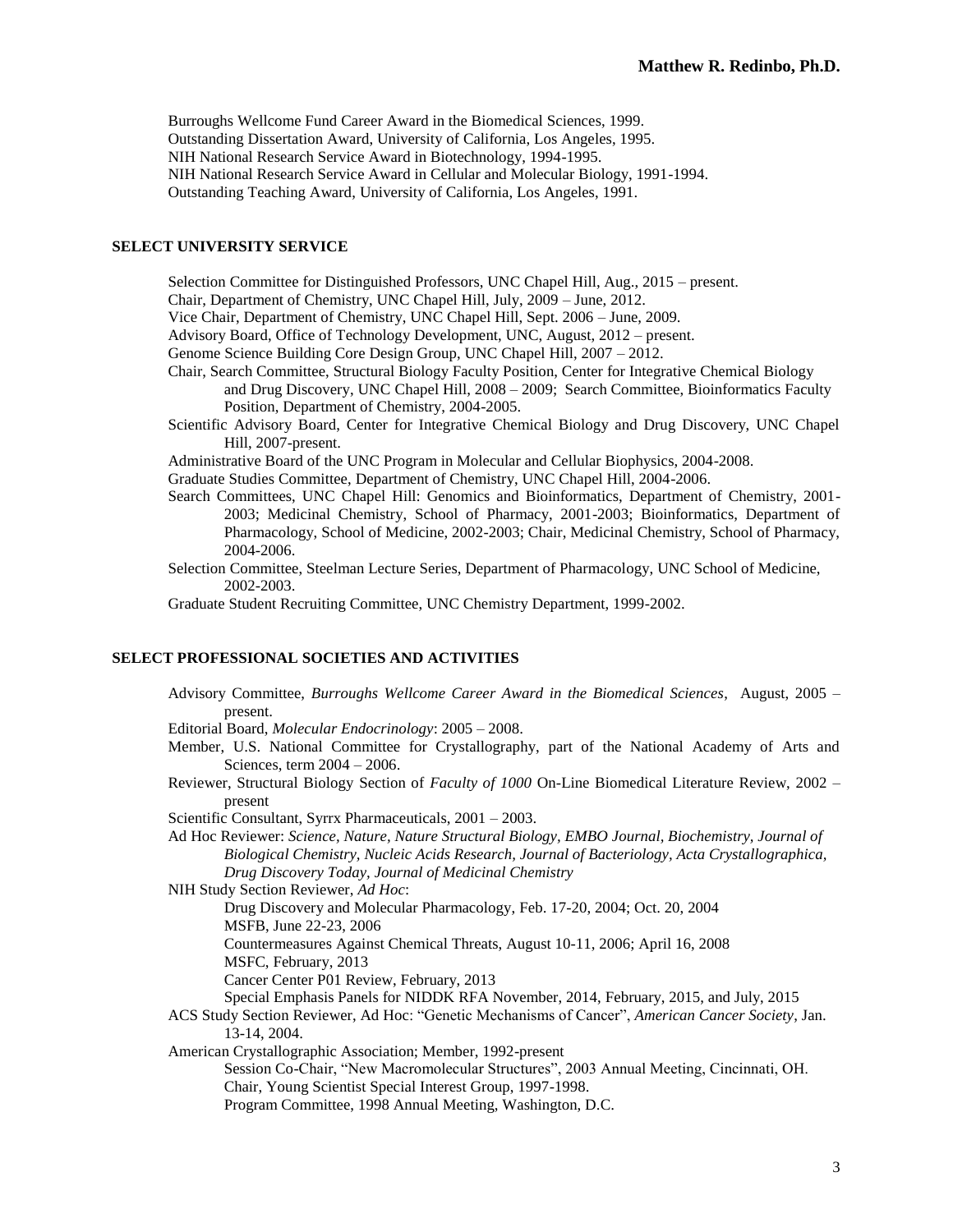Burroughs Wellcome Fund Career Award in the Biomedical Sciences, 1999. Outstanding Dissertation Award, University of California, Los Angeles, 1995. NIH National Research Service Award in Biotechnology, 1994-1995. NIH National Research Service Award in Cellular and Molecular Biology, 1991-1994. Outstanding Teaching Award, University of California, Los Angeles, 1991.

### **SELECT UNIVERSITY SERVICE**

Selection Committee for Distinguished Professors, UNC Chapel Hill, Aug., 2015 – present.

Chair, Department of Chemistry, UNC Chapel Hill, July, 2009 – June, 2012.

Vice Chair, Department of Chemistry, UNC Chapel Hill, Sept. 2006 – June, 2009.

Advisory Board, Office of Technology Development, UNC, August, 2012 – present.

- Genome Science Building Core Design Group, UNC Chapel Hill, 2007 2012.
- Chair, Search Committee, Structural Biology Faculty Position, Center for Integrative Chemical Biology and Drug Discovery, UNC Chapel Hill, 2008 – 2009; Search Committee, Bioinformatics Faculty Position, Department of Chemistry, 2004-2005.
- Scientific Advisory Board, Center for Integrative Chemical Biology and Drug Discovery, UNC Chapel Hill, 2007-present.

Administrative Board of the UNC Program in Molecular and Cellular Biophysics, 2004-2008.

Graduate Studies Committee, Department of Chemistry, UNC Chapel Hill, 2004-2006.

- Search Committees, UNC Chapel Hill: Genomics and Bioinformatics, Department of Chemistry, 2001- 2003; Medicinal Chemistry, School of Pharmacy, 2001-2003; Bioinformatics, Department of Pharmacology, School of Medicine, 2002-2003; Chair, Medicinal Chemistry, School of Pharmacy, 2004-2006.
- Selection Committee, Steelman Lecture Series, Department of Pharmacology, UNC School of Medicine, 2002-2003.

Graduate Student Recruiting Committee, UNC Chemistry Department, 1999-2002.

### **SELECT PROFESSIONAL SOCIETIES AND ACTIVITIES**

Advisory Committee, *Burroughs Wellcome Career Award in the Biomedical Sciences*, August, 2005 – present.

Editorial Board, *Molecular Endocrinology*: 2005 – 2008.

- Member, U.S. National Committee for Crystallography, part of the National Academy of Arts and Sciences, term 2004 – 2006.
- Reviewer, Structural Biology Section of *Faculty of 1000* On-Line Biomedical Literature Review, 2002 present

Scientific Consultant, Syrrx Pharmaceuticals, 2001 – 2003.

Ad Hoc Reviewer: *Science, Nature, Nature Structural Biology, EMBO Journal, Biochemistry, Journal of Biological Chemistry, Nucleic Acids Research, Journal of Bacteriology, Acta Crystallographica, Drug Discovery Today, Journal of Medicinal Chemistry*

NIH Study Section Reviewer, *Ad Hoc*:

Drug Discovery and Molecular Pharmacology, Feb. 17-20, 2004; Oct. 20, 2004 MSFB, June 22-23, 2006

Countermeasures Against Chemical Threats, August 10-11, 2006; April 16, 2008

MSFC, February, 2013

Cancer Center P01 Review, February, 2013

Special Emphasis Panels for NIDDK RFA November, 2014, February, 2015, and July, 2015

ACS Study Section Reviewer, Ad Hoc: "Genetic Mechanisms of Cancer", *American Cancer Society*, Jan. 13-14, 2004.

American Crystallographic Association; Member, 1992-present

Session Co-Chair, "New Macromolecular Structures", 2003 Annual Meeting, Cincinnati, OH. Chair, Young Scientist Special Interest Group, 1997-1998.

Program Committee, 1998 Annual Meeting, Washington, D.C.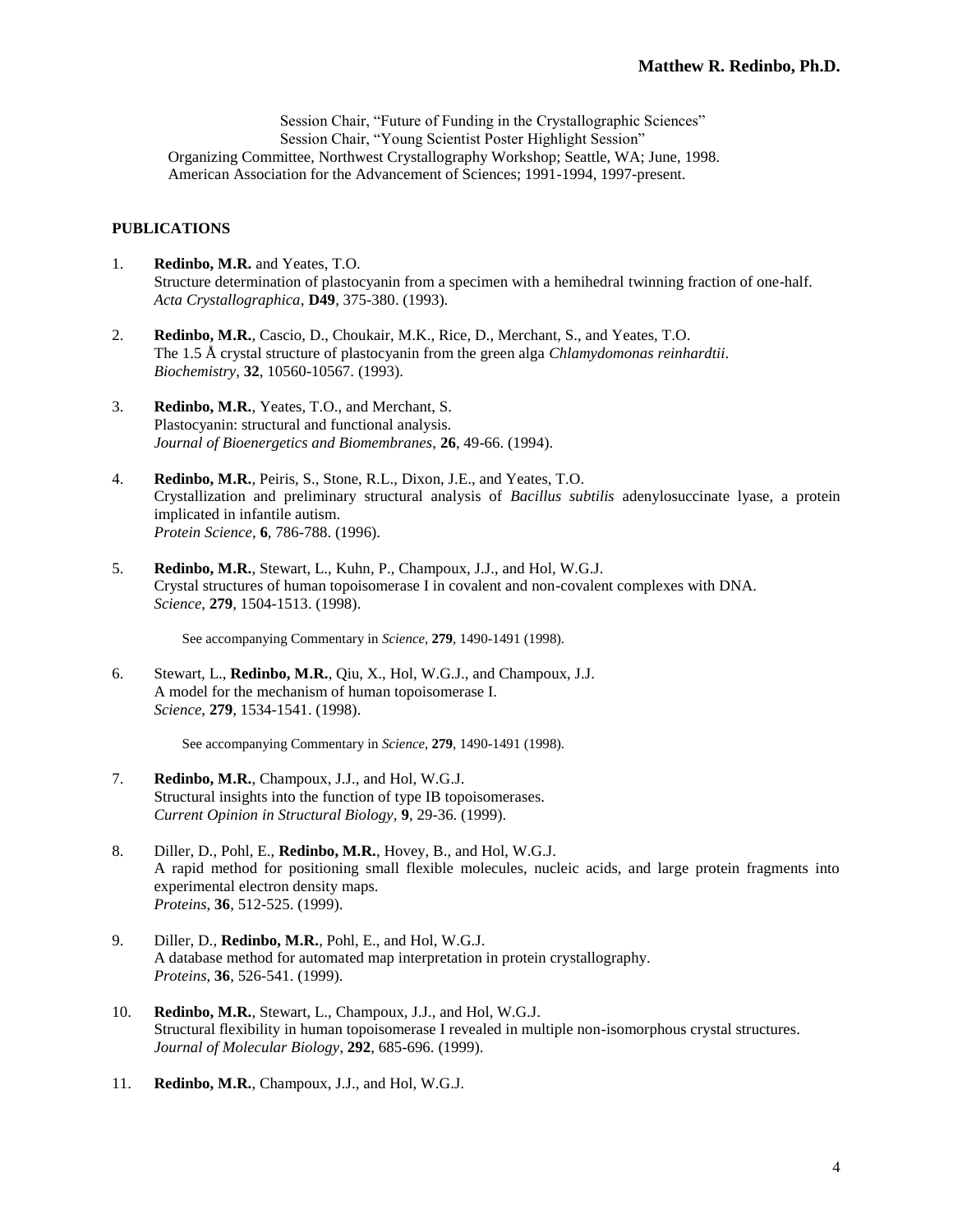Session Chair, "Future of Funding in the Crystallographic Sciences" Session Chair, "Young Scientist Poster Highlight Session" Organizing Committee, Northwest Crystallography Workshop; Seattle, WA; June, 1998. American Association for the Advancement of Sciences; 1991-1994, 1997-present.

# **PUBLICATIONS**

- 1. **Redinbo, M.R.** and Yeates, T.O. Structure determination of plastocyanin from a specimen with a hemihedral twinning fraction of one-half. *Acta Crystallographica*, **D49**, 375-380. (1993).
- 2. **Redinbo, M.R.**, Cascio, D., Choukair, M.K., Rice, D., Merchant, S., and Yeates, T.O. The 1.5 Å crystal structure of plastocyanin from the green alga *Chlamydomonas reinhardtii*. *Biochemistry*, **32**, 10560-10567. (1993).
- 3. **Redinbo, M.R.**, Yeates, T.O., and Merchant, S. Plastocyanin: structural and functional analysis. *Journal of Bioenergetics and Biomembranes*, **26**, 49-66. (1994).
- 4. **Redinbo, M.R.**, Peiris, S., Stone, R.L., Dixon, J.E., and Yeates, T.O. Crystallization and preliminary structural analysis of *Bacillus subtilis* adenylosuccinate lyase, a protein implicated in infantile autism. *Protein Science*, **6**, 786-788. (1996).
- 5. **Redinbo, M.R.**, Stewart, L., Kuhn, P., Champoux, J.J., and Hol, W.G.J. Crystal structures of human topoisomerase I in covalent and non-covalent complexes with DNA. *Science*, **279**, 1504-1513. (1998).

See accompanying Commentary in *Science*, **279**, 1490-1491 (1998).

6. Stewart, L., **Redinbo, M.R.**, Qiu, X., Hol, W.G.J., and Champoux, J.J. A model for the mechanism of human topoisomerase I. *Science*, **279**, 1534-1541. (1998).

See accompanying Commentary in *Science*, **279**, 1490-1491 (1998).

- 7. **Redinbo, M.R.**, Champoux, J.J., and Hol, W.G.J. Structural insights into the function of type IB topoisomerases. *Current Opinion in Structural Biology,* **9**, 29-36. (1999).
- 8. Diller, D., Pohl, E., **Redinbo, M.R.**, Hovey, B., and Hol, W.G.J. A rapid method for positioning small flexible molecules, nucleic acids, and large protein fragments into experimental electron density maps. *Proteins*, **36**, 512-525. (1999).
- 9. Diller, D., **Redinbo, M.R.**, Pohl, E., and Hol, W.G.J. A database method for automated map interpretation in protein crystallography. *Proteins*, **36**, 526-541. (1999).
- 10. **Redinbo, M.R.**, Stewart, L., Champoux, J.J., and Hol, W.G.J. Structural flexibility in human topoisomerase I revealed in multiple non-isomorphous crystal structures. *Journal of Molecular Biology*, **292**, 685-696. (1999).
- 11. **Redinbo, M.R.**, Champoux, J.J., and Hol, W.G.J.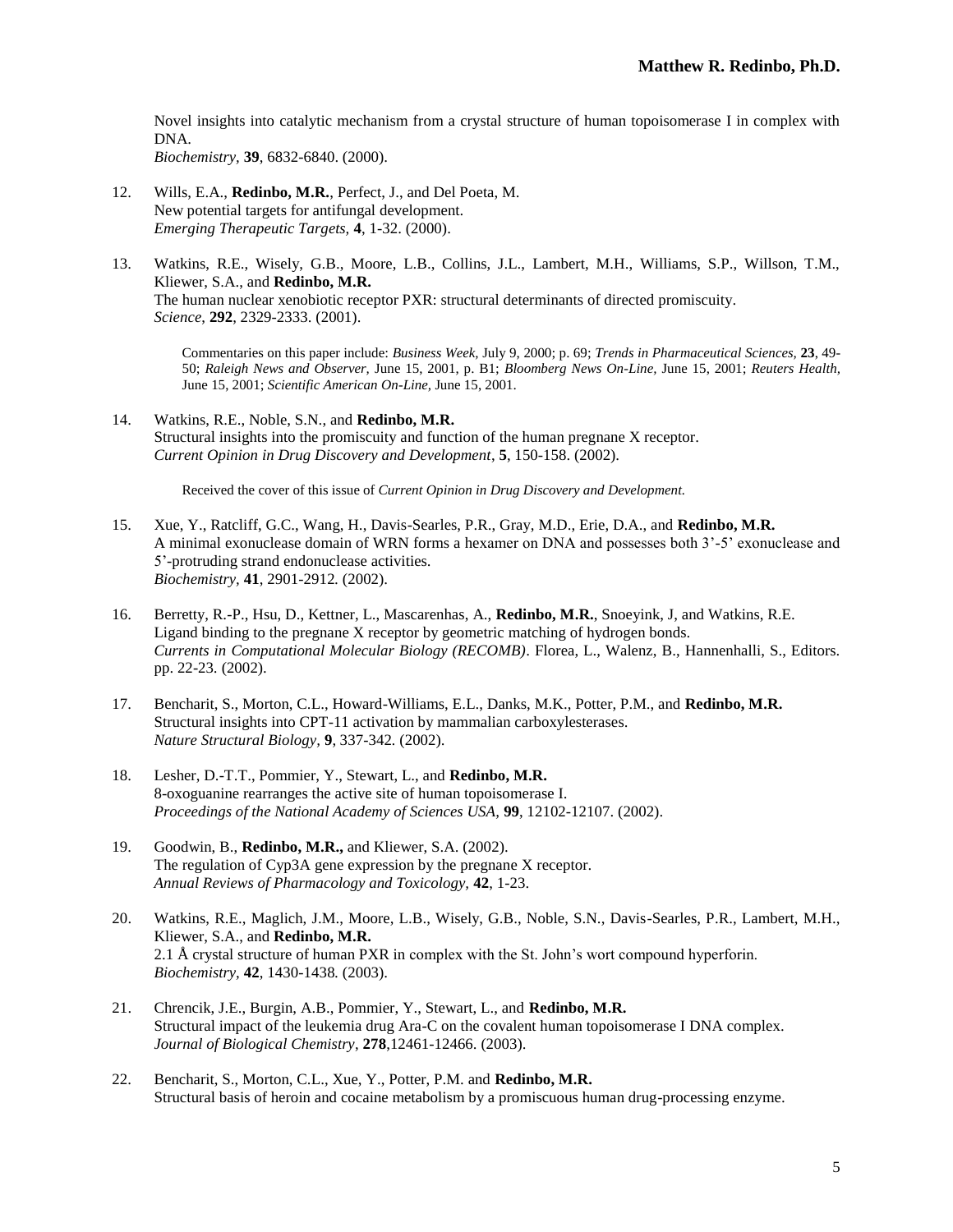Novel insights into catalytic mechanism from a crystal structure of human topoisomerase I in complex with DNA.

*Biochemistry,* **39**, 6832-6840. (2000).

- 12. Wills, E.A., **Redinbo, M.R.**, Perfect, J., and Del Poeta, M. New potential targets for antifungal development. *Emerging Therapeutic Targets,* **4**, 1-32. (2000).
- 13. Watkins, R.E., Wisely, G.B., Moore, L.B., Collins, J.L., Lambert, M.H., Williams, S.P., Willson, T.M., Kliewer, S.A., and **Redinbo, M.R.** The human nuclear xenobiotic receptor PXR: structural determinants of directed promiscuity. *Science*, **292**, 2329-2333. (2001).

Commentaries on this paper include: *Business Week,* July 9, 2000; p. 69; *Trends in Pharmaceutical Sciences,* **23**, 49- 50; *Raleigh News and Observer,* June 15, 2001, p. B1; *Bloomberg News On-Line,* June 15, 2001; *Reuters Health,*  June 15, 2001; *Scientific American On-Line,* June 15, 2001.

14. Watkins, R.E., Noble, S.N., and **Redinbo, M.R.** Structural insights into the promiscuity and function of the human pregnane X receptor. *Current Opinion in Drug Discovery and Development*, **5**, 150-158. (2002).

Received the cover of this issue of *Current Opinion in Drug Discovery and Development.*

- 15. Xue, Y., Ratcliff, G.C., Wang, H., Davis-Searles, P.R., Gray, M.D., Erie, D.A., and **Redinbo, M.R.** A minimal exonuclease domain of WRN forms a hexamer on DNA and possesses both 3'-5' exonuclease and 5'-protruding strand endonuclease activities. *Biochemistry,* **41**, 2901-2912*.* (2002).
- 16. Berretty, R.-P., Hsu, D., Kettner, L., Mascarenhas, A., **Redinbo, M.R.**, Snoeyink, J, and Watkins, R.E. Ligand binding to the pregnane X receptor by geometric matching of hydrogen bonds. *Currents in Computational Molecular Biology (RECOMB)*. Florea, L., Walenz, B., Hannenhalli, S., Editors. pp. 22-23*.* (2002).
- 17. Bencharit, S., Morton, C.L., Howard-Williams, E.L., Danks, M.K., Potter, P.M., and **Redinbo, M.R.**  Structural insights into CPT-11 activation by mammalian carboxylesterases. *Nature Structural Biology,* **9**, 337-342*.* (2002).
- 18. Lesher, D.-T.T., Pommier, Y., Stewart, L., and **Redinbo, M.R.** 8-oxoguanine rearranges the active site of human topoisomerase I. *Proceedings of the National Academy of Sciences USA,* **99**, 12102-12107. (2002).
- 19. Goodwin, B., **Redinbo, M.R.,** and Kliewer, S.A. (2002). The regulation of Cyp3A gene expression by the pregnane X receptor. *Annual Reviews of Pharmacology and Toxicology,* **42**, 1-23.
- 20. Watkins, R.E., Maglich, J.M., Moore, L.B., Wisely, G.B., Noble, S.N., Davis-Searles, P.R., Lambert, M.H., Kliewer, S.A., and **Redinbo, M.R.** 2.1 Å crystal structure of human PXR in complex with the St. John's wort compound hyperforin. *Biochemistry,* **42**, 1430-1438*.* (2003).
- 21. Chrencik, J.E., Burgin, A.B., Pommier, Y., Stewart, L., and **Redinbo, M.R.**  Structural impact of the leukemia drug Ara-C on the covalent human topoisomerase I DNA complex. *Journal of Biological Chemistry*, **278**,12461-12466. (2003).
- 22. Bencharit, S., Morton, C.L., Xue, Y., Potter, P.M. and **Redinbo, M.R.**  Structural basis of heroin and cocaine metabolism by a promiscuous human drug-processing enzyme.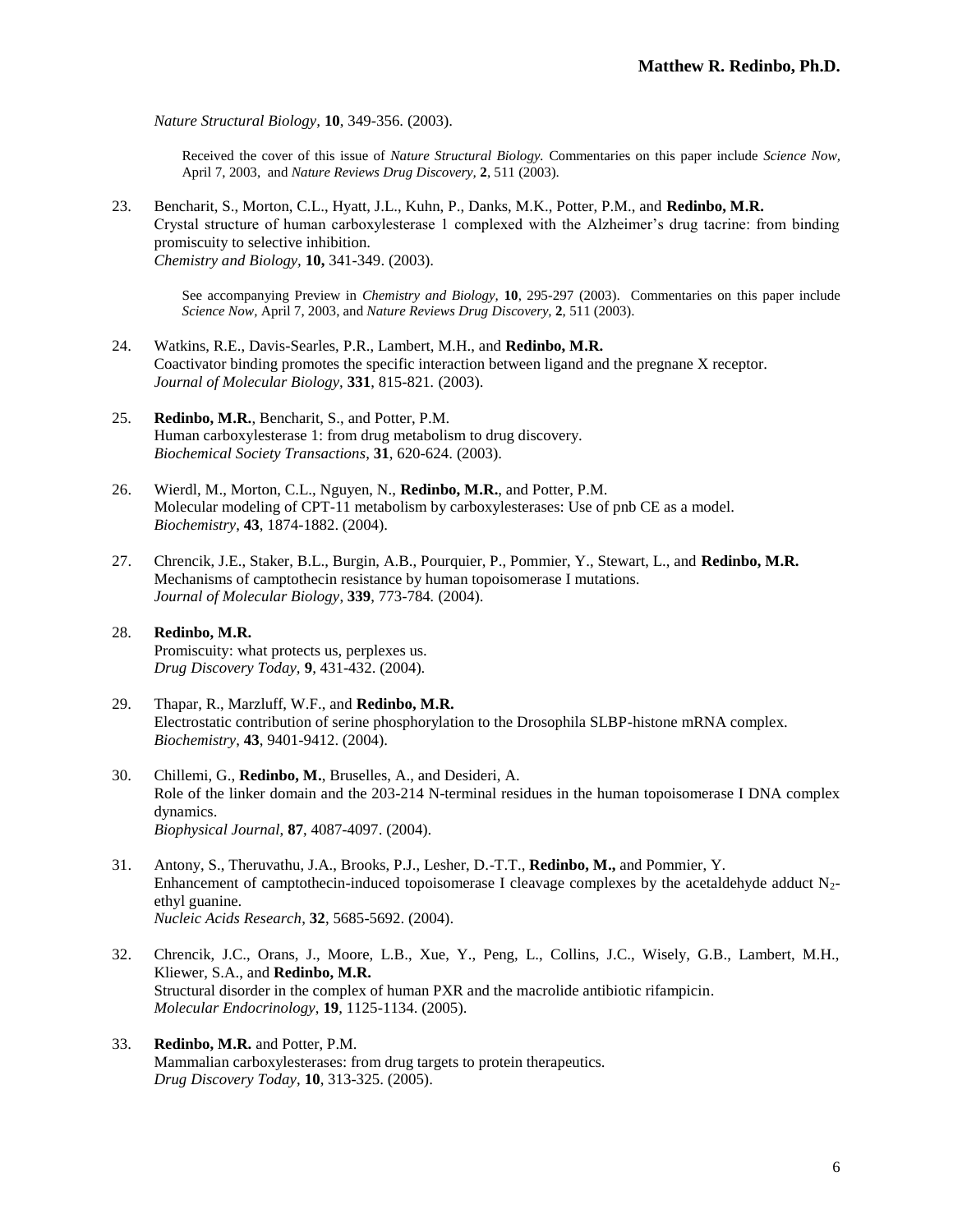*Nature Structural Biology,* **10**, 349-356. (2003).

Received the cover of this issue of *Nature Structural Biology.* Commentaries on this paper include *Science Now,*  April 7, 2003, and *Nature Reviews Drug Discovery,* **2**, 511 (2003).

23. Bencharit, S., Morton, C.L., Hyatt, J.L., Kuhn, P., Danks, M.K., Potter, P.M., and **Redinbo, M.R.** Crystal structure of human carboxylesterase 1 complexed with the Alzheimer's drug tacrine: from binding promiscuity to selective inhibition. *Chemistry and Biology,* **10,** 341-349. (2003).

See accompanying Preview in *Chemistry and Biology,* **10**, 295-297 (2003). Commentaries on this paper include *Science Now,* April 7, 2003, and *Nature Reviews Drug Discovery,* **2**, 511 (2003).

- 24. Watkins, R.E., Davis-Searles, P.R., Lambert, M.H., and **Redinbo, M.R.** Coactivator binding promotes the specific interaction between ligand and the pregnane X receptor. *Journal of Molecular Biology,* **331**, 815-821*.* (2003).
- 25. **Redinbo, M.R.**, Bencharit, S., and Potter, P.M. Human carboxylesterase 1: from drug metabolism to drug discovery. *Biochemical Society Transactions*, **31**, 620-624. (2003).
- 26. Wierdl, M., Morton, C.L., Nguyen, N., **Redinbo, M.R.**, and Potter, P.M. Molecular modeling of CPT-11 metabolism by carboxylesterases: Use of pnb CE as a model. *Biochemistry*, **43**, 1874-1882. (2004).
- 27. Chrencik, J.E., Staker, B.L., Burgin, A.B., Pourquier, P., Pommier, Y., Stewart, L., and **Redinbo, M.R.** Mechanisms of camptothecin resistance by human topoisomerase I mutations. *Journal of Molecular Biology*, **339**, 773-784*.* (2004).
- 28. **Redinbo, M.R.**  Promiscuity: what protects us, perplexes us. *Drug Discovery Today,* **9**, 431-432. (2004).
- 29. Thapar, R., Marzluff, W.F., and **Redinbo, M.R.** Electrostatic contribution of serine phosphorylation to the Drosophila SLBP-histone mRNA complex. *Biochemistry*, **43**, 9401-9412. (2004).
- 30. Chillemi, G., **Redinbo, M.**, Bruselles, A., and Desideri, A. Role of the linker domain and the 203-214 N-terminal residues in the human topoisomerase I DNA complex dynamics. *Biophysical Journal*, **87**, 4087-4097. (2004).
- 31. Antony, S., Theruvathu, J.A., Brooks, P.J., Lesher, D.-T.T., **Redinbo, M.,** and Pommier, Y. Enhancement of camptothecin-induced topoisomerase I cleavage complexes by the acetaldehyde adduct  $N_2$ ethyl guanine. *Nucleic Acids Research*, **32**, 5685-5692. (2004).
- 32. Chrencik, J.C., Orans, J., Moore, L.B., Xue, Y., Peng, L., Collins, J.C., Wisely, G.B., Lambert, M.H., Kliewer, S.A., and **Redinbo, M.R.**  Structural disorder in the complex of human PXR and the macrolide antibiotic rifampicin. *Molecular Endocrinology*, **19**, 1125-1134. (2005).
- 33. **Redinbo, M.R.** and Potter, P.M. Mammalian carboxylesterases: from drug targets to protein therapeutics. *Drug Discovery Today*, **10**, 313-325. (2005).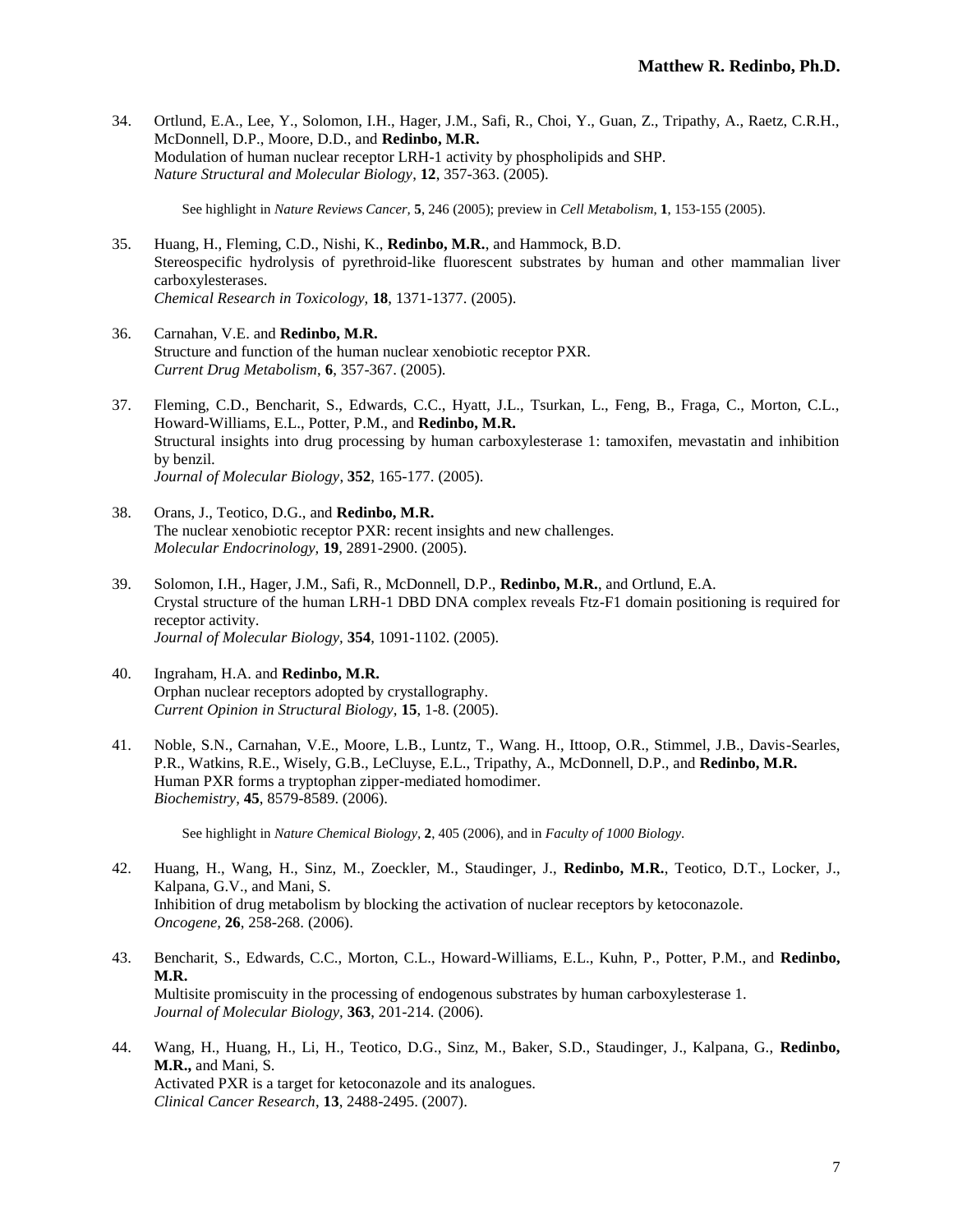34. Ortlund, E.A., Lee, Y., Solomon, I.H., Hager, J.M., Safi, R., Choi, Y., Guan, Z., Tripathy, A., Raetz, C.R.H., McDonnell, D.P., Moore, D.D., and **Redinbo, M.R.** Modulation of human nuclear receptor LRH-1 activity by phospholipids and SHP. *Nature Structural and Molecular Biology*, **12**, 357-363. (2005).

See highlight in *Nature Reviews Cancer,* **5**, 246 (2005); preview in *Cell Metabolism*, **1**, 153-155 (2005).

- 35. Huang, H., Fleming, C.D., Nishi, K., **Redinbo, M.R.**, and Hammock, B.D. Stereospecific hydrolysis of pyrethroid-like fluorescent substrates by human and other mammalian liver carboxylesterases. *Chemical Research in Toxicology,* **18**, 1371-1377. (2005).
- 36. Carnahan, V.E. and **Redinbo, M.R.**  Structure and function of the human nuclear xenobiotic receptor PXR. *Current Drug Metabolism*, **6**, 357-367. (2005).
- 37. Fleming, C.D., Bencharit, S., Edwards, C.C., Hyatt, J.L., Tsurkan, L., Feng, B., Fraga, C., Morton, C.L., Howard-Williams, E.L., Potter, P.M., and **Redinbo, M.R.** Structural insights into drug processing by human carboxylesterase 1: tamoxifen, mevastatin and inhibition by benzil. *Journal of Molecular Biology*, **352**, 165-177. (2005).
- 38. Orans, J., Teotico, D.G., and **Redinbo, M.R.**  The nuclear xenobiotic receptor PXR: recent insights and new challenges. *Molecular Endocrinology,* **19**, 2891-2900. (2005).
- 39. Solomon, I.H., Hager, J.M., Safi, R., McDonnell, D.P., **Redinbo, M.R.**, and Ortlund, E.A. Crystal structure of the human LRH-1 DBD DNA complex reveals Ftz-F1 domain positioning is required for receptor activity. *Journal of Molecular Biology,* **354**, 1091-1102. (2005).
- 40. Ingraham, H.A. and **Redinbo, M.R.** Orphan nuclear receptors adopted by crystallography. *Current Opinion in Structural Biology,* **15**, 1-8. (2005).
- 41. Noble, S.N., Carnahan, V.E., Moore, L.B., Luntz, T., Wang. H., Ittoop, O.R., Stimmel, J.B., Davis-Searles, P.R., Watkins, R.E., Wisely, G.B., LeCluyse, E.L., Tripathy, A., McDonnell, D.P., and **Redinbo, M.R.** Human PXR forms a tryptophan zipper-mediated homodimer. *Biochemistry*, **45**, 8579-8589. (2006).

See highlight in *Nature Chemical Biology,* **2**, 405 (2006), and in *Faculty of 1000 Biology*.

- 42. Huang, H., Wang, H., Sinz, M., Zoeckler, M., Staudinger, J., **Redinbo, M.R.**, Teotico, D.T., Locker, J., Kalpana, G.V., and Mani, S. Inhibition of drug metabolism by blocking the activation of nuclear receptors by ketoconazole. *Oncogene,* **26**, 258-268. (2006).
- 43. Bencharit, S., Edwards, C.C., Morton, C.L., Howard-Williams, E.L., Kuhn, P., Potter, P.M., and **Redinbo, M.R.** Multisite promiscuity in the processing of endogenous substrates by human carboxylesterase 1. *Journal of Molecular Biology,* **363**, 201-214. (2006).
- 44. Wang, H., Huang, H., Li, H., Teotico, D.G., Sinz, M., Baker, S.D., Staudinger, J., Kalpana, G., **Redinbo, M.R.,** and Mani, S. Activated PXR is a target for ketoconazole and its analogues. *Clinical Cancer Research*, **13**, 2488-2495. (2007).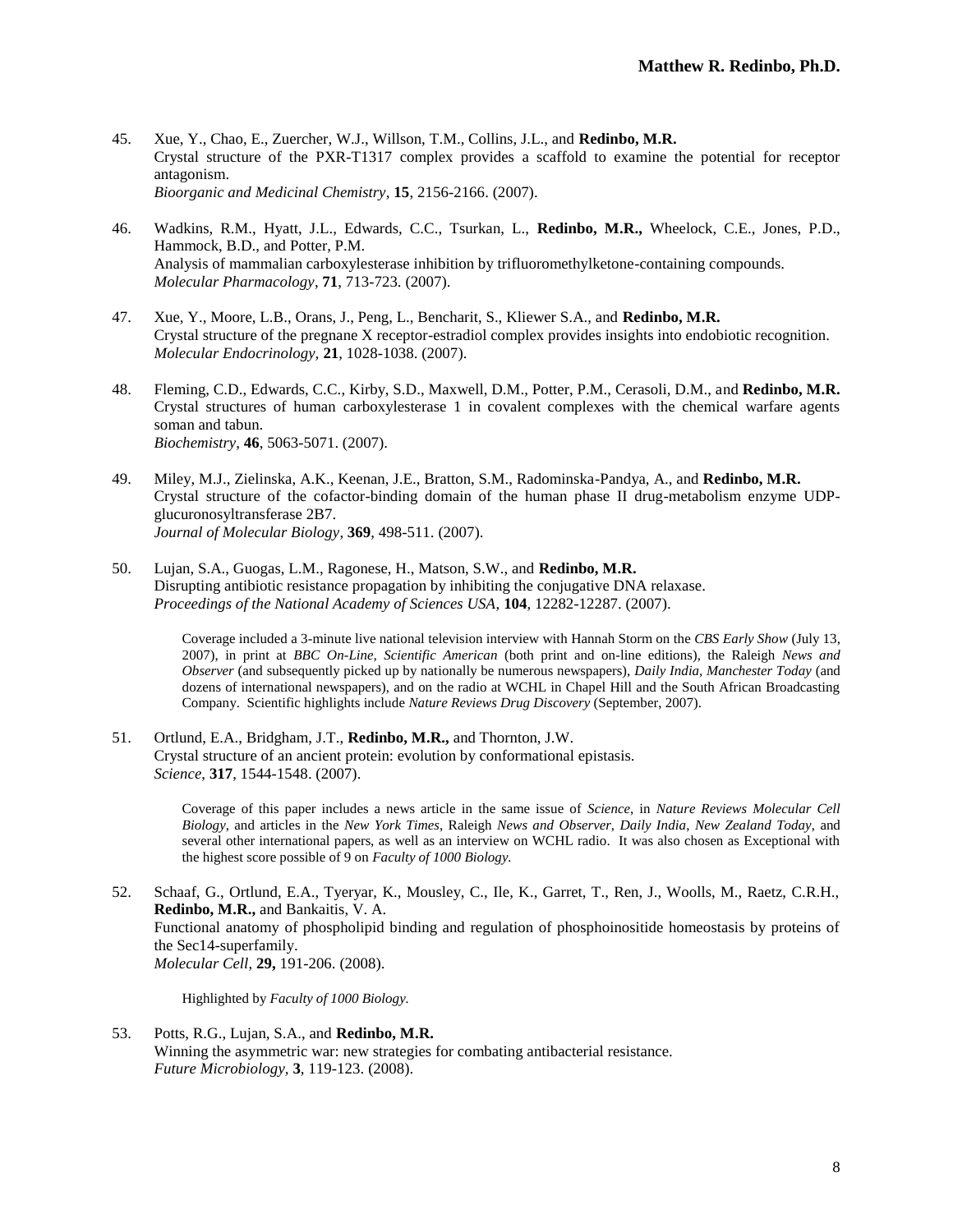- 45. Xue, Y., Chao, E., Zuercher, W.J., Willson, T.M., Collins, J.L., and **Redinbo, M.R.** Crystal structure of the PXR-T1317 complex provides a scaffold to examine the potential for receptor antagonism. *Bioorganic and Medicinal Chemistry*, **15**, 2156-2166. (2007).
- 46. Wadkins, R.M., Hyatt, J.L., Edwards, C.C., Tsurkan, L., **Redinbo, M.R.,** Wheelock, C.E., Jones, P.D., Hammock, B.D., and Potter, P.M. Analysis of mammalian carboxylesterase inhibition by trifluoromethylketone-containing compounds. *Molecular Pharmacology*, **71**, 713-723. (2007).
- 47. Xue, Y., Moore, L.B., Orans, J., Peng, L., Bencharit, S., Kliewer S.A., and **Redinbo, M.R.** Crystal structure of the pregnane X receptor-estradiol complex provides insights into endobiotic recognition. *Molecular Endocrinology,* **21**, 1028-1038. (2007).
- 48. Fleming, C.D., Edwards, C.C., Kirby, S.D., Maxwell, D.M., Potter, P.M., Cerasoli, D.M., and **Redinbo, M.R.** Crystal structures of human carboxylesterase 1 in covalent complexes with the chemical warfare agents soman and tabun. *Biochemistry*, **46**, 5063-5071. (2007).
- 49. Miley, M.J., Zielinska, A.K., Keenan, J.E., Bratton, S.M., Radominska-Pandya, A., and **Redinbo, M.R.** Crystal structure of the cofactor-binding domain of the human phase II drug-metabolism enzyme UDPglucuronosyltransferase 2B7. *Journal of Molecular Biology*, **369**, 498-511. (2007).
- 50. Lujan, S.A., Guogas, L.M., Ragonese, H., Matson, S.W., and **Redinbo, M.R.** Disrupting antibiotic resistance propagation by inhibiting the conjugative DNA relaxase. *Proceedings of the National Academy of Sciences USA*, **104**, 12282-12287. (2007).

Coverage included a 3-minute live national television interview with Hannah Storm on the *CBS Early Show* (July 13, 2007), in print at *BBC On-Line, Scientific American* (both print and on-line editions)*,* the Raleigh *News and Observer* (and subsequently picked up by nationally be numerous newspapers), *Daily India, Manchester Today* (and dozens of international newspapers), and on the radio at WCHL in Chapel Hill and the South African Broadcasting Company. Scientific highlights include *Nature Reviews Drug Discovery* (September, 2007).

51. Ortlund, E.A., Bridgham, J.T., **Redinbo, M.R.,** and Thornton, J.W. Crystal structure of an ancient protein: evolution by conformational epistasis. *Science*, **317**, 1544-1548. (2007).

> Coverage of this paper includes a news article in the same issue of *Science*, in *Nature Reviews Molecular Cell Biology*, and articles in the *New York Times*, Raleigh *News and Observer*, *Daily India*, *New Zealand Today*, and several other international papers, as well as an interview on WCHL radio. It was also chosen as Exceptional with the highest score possible of 9 on *Faculty of 1000 Biology.*

52. Schaaf, G., Ortlund, E.A., Tyeryar, K., Mousley, C., Ile, K., Garret, T., Ren, J., Woolls, M., Raetz, C.R.H., **Redinbo, M.R.,** and Bankaitis, V. A. Functional anatomy of phospholipid binding and regulation of phosphoinositide homeostasis by proteins of the Sec14-superfamily. *Molecular Cell*, **29,** 191-206. (2008).

Highlighted by *Faculty of 1000 Biology.*

53. Potts, R.G., Lujan, S.A., and **Redinbo, M.R.** Winning the asymmetric war: new strategies for combating antibacterial resistance. *Future Microbiology,* **3**, 119-123. (2008).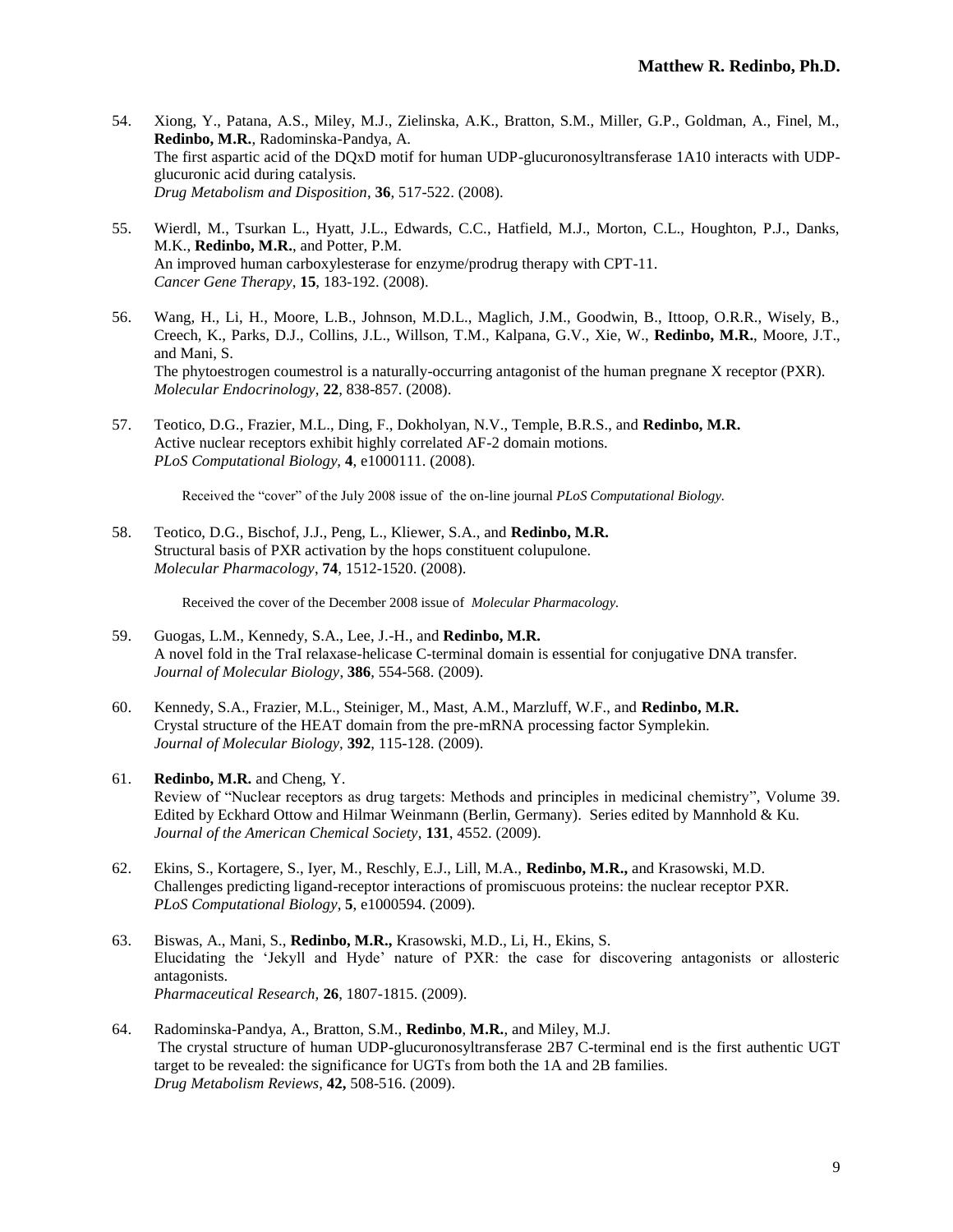- 54. Xiong, Y., Patana, A.S., Miley, M.J., Zielinska, A.K., Bratton, S.M., Miller, G.P., Goldman, A., Finel, M., **Redinbo, M.R.**, Radominska-Pandya, A. The first aspartic acid of the DQxD motif for human UDP-glucuronosyltransferase 1A10 interacts with UDPglucuronic acid during catalysis. *Drug Metabolism and Disposition*, **36**, 517-522. (2008).
- 55. Wierdl, M., Tsurkan L., Hyatt, J.L., Edwards, C.C., Hatfield, M.J., Morton, C.L., Houghton, P.J., Danks, M.K., **Redinbo, M.R.**, and Potter, P.M. An improved human carboxylesterase for enzyme/prodrug therapy with CPT-11. *Cancer Gene Therapy*, **15**, 183-192. (2008).
- 56. Wang, H., Li, H., Moore, L.B., Johnson, M.D.L., Maglich, J.M., Goodwin, B., Ittoop, O.R.R., Wisely, B., Creech, K., Parks, D.J., Collins, J.L., Willson, T.M., Kalpana, G.V., Xie, W., **Redinbo, M.R.**, Moore, J.T., and Mani, S. The phytoestrogen coumestrol is a naturally-occurring antagonist of the human pregnane X receptor (PXR). *Molecular Endocrinology*, **22**, 838-857. (2008).
- 57. Teotico, D.G., Frazier, M.L., Ding, F., Dokholyan, N.V., Temple, B.R.S., and **Redinbo, M.R.** Active nuclear receptors exhibit highly correlated AF-2 domain motions. *PLoS Computational Biology,* **4**, e1000111. (2008).

Received the "cover" of the July 2008 issue of the on-line journal *PLoS Computational Biology.*

58. Teotico, D.G., Bischof, J.J., Peng, L., Kliewer, S.A., and **Redinbo, M.R.** Structural basis of PXR activation by the hops constituent colupulone. *Molecular Pharmacology*, **74**, 1512-1520. (2008).

Received the cover of the December 2008 issue of *Molecular Pharmacology.*

- 59. Guogas, L.M., Kennedy, S.A., Lee, J.-H., and **Redinbo, M.R.** A novel fold in the TraI relaxase-helicase C-terminal domain is essential for conjugative DNA transfer. *Journal of Molecular Biology*, **386**, 554-568. (2009).
- 60. Kennedy, S.A., Frazier, M.L., Steiniger, M., Mast, A.M., Marzluff, W.F., and **Redinbo, M.R.** Crystal structure of the HEAT domain from the pre-mRNA processing factor Symplekin. *Journal of Molecular Biology,* **392**, 115-128. (2009).
- 61. **Redinbo, M.R.** and Cheng, Y. Review of "Nuclear receptors as drug targets: Methods and principles in medicinal chemistry", Volume 39. Edited by Eckhard Ottow and Hilmar Weinmann (Berlin, Germany). Series edited by Mannhold & Ku. *Journal of the American Chemical Society*, **131**, 4552. (2009).
- 62. Ekins, S., Kortagere, S., Iyer, M., Reschly, E.J., Lill, M.A., **Redinbo, M.R.,** and Krasowski, M.D. Challenges predicting ligand-receptor interactions of promiscuous proteins: the nuclear receptor PXR. *PLoS Computational Biology*, **5**, e1000594. (2009).
- 63. Biswas, A., Mani, S., **Redinbo, M.R.,** Krasowski, M.D., Li, H., Ekins, S. Elucidating the 'Jekyll and Hyde' nature of PXR: the case for discovering antagonists or allosteric antagonists. *Pharmaceutical Research,* **26**, 1807-1815. (2009).
- 64. Radominska-Pandya, A., Bratton, S.M., **Redinbo**, **M.R.**, and Miley, M.J. The crystal structure of human UDP-glucuronosyltransferase 2B7 C-terminal end is the first authentic UGT target to be revealed: the significance for UGTs from both the 1A and 2B families. *Drug Metabolism Reviews*, **42,** 508-516. (2009).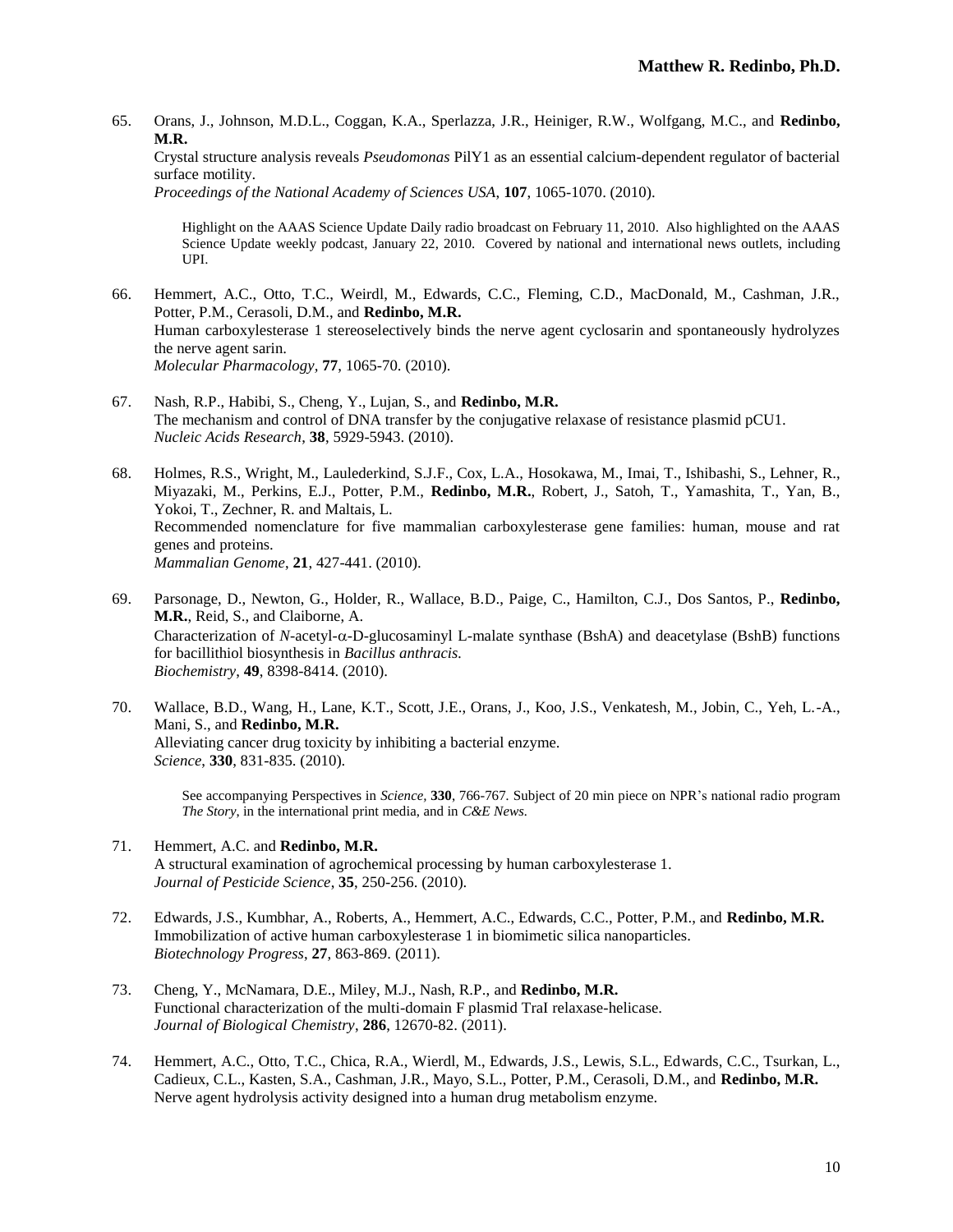65. Orans, J., Johnson, M.D.L., Coggan, K.A., Sperlazza, J.R., Heiniger, R.W., Wolfgang, M.C., and **Redinbo, M.R.**

Crystal structure analysis reveals *Pseudomonas* PilY1 as an essential calcium-dependent regulator of bacterial surface motility.

*Proceedings of the National Academy of Sciences USA*, **107**, 1065-1070. (2010).

Highlight on the AAAS Science Update Daily radio broadcast on February 11, 2010. Also highlighted on the AAAS Science Update weekly podcast, January 22, 2010. Covered by national and international news outlets, including UPI.

- 66. Hemmert, A.C., Otto, T.C., Weirdl, M., Edwards, C.C., Fleming, C.D., MacDonald, M., Cashman, J.R., Potter, P.M., Cerasoli, D.M., and **Redinbo, M.R.** Human carboxylesterase 1 stereoselectively binds the nerve agent cyclosarin and spontaneously hydrolyzes the nerve agent sarin. *Molecular Pharmacology,* **77**, 1065-70. (2010).
- 67. Nash, R.P., Habibi, S., Cheng, Y., Lujan, S., and **Redinbo, M.R.** The mechanism and control of DNA transfer by the conjugative relaxase of resistance plasmid pCU1. *Nucleic Acids Research*, **38**, 5929-5943. (2010).
- 68. Holmes, R.S., Wright, M., Laulederkind, S.J.F., Cox, L.A., Hosokawa, M., Imai, T., Ishibashi, S., Lehner, R., Miyazaki, M., Perkins, E.J., Potter, P.M., **Redinbo, M.R.**, Robert, J., Satoh, T., Yamashita, T., Yan, B., Yokoi, T., Zechner, R. and Maltais, L. Recommended nomenclature for five mammalian carboxylesterase gene families: human, mouse and rat genes and proteins. *Mammalian Genome*, **21**, 427-441. (2010).
- 69. Parsonage, D., Newton, G., Holder, R., Wallace, B.D., Paige, C., Hamilton, C.J., Dos Santos, P., **Redinbo, M.R.**, Reid, S., and Claiborne, A. Characterization of *N*-acetyl- $\alpha$ -D-glucosaminyl L-malate synthase (BshA) and deacetylase (BshB) functions for bacillithiol biosynthesis in *Bacillus anthracis. Biochemistry*, **49**, 8398-8414. (2010).
- 70. Wallace, B.D., Wang, H., Lane, K.T., Scott, J.E., Orans, J., Koo, J.S., Venkatesh, M., Jobin, C., Yeh, L.-A., Mani, S., and **Redinbo, M.R.** Alleviating cancer drug toxicity by inhibiting a bacterial enzyme. *Science*, **330**, 831-835. (2010).

See accompanying Perspectives in *Science,* **330**, 766-767*.* Subject of 20 min piece on NPR's national radio program *The Story*, in the international print media, and in *C&E News.*

- 71. Hemmert, A.C. and **Redinbo, M.R.** A structural examination of agrochemical processing by human carboxylesterase 1. *Journal of Pesticide Science*, **35**, 250-256. (2010).
- 72. Edwards, J.S., Kumbhar, A., Roberts, A., Hemmert, A.C., Edwards, C.C., Potter, P.M., and **Redinbo, M.R.** Immobilization of active human carboxylesterase 1 in biomimetic silica nanoparticles. *Biotechnology Progress*, **27**, 863-869. (2011).
- 73. Cheng, Y., McNamara, D.E., Miley, M.J., Nash, R.P., and **Redinbo, M.R.**  Functional characterization of the multi-domain F plasmid TraI relaxase-helicase. *Journal of Biological Chemistry*, **286**, 12670-82. (2011).
- 74. Hemmert, A.C., Otto, T.C., Chica, R.A., Wierdl, M., Edwards, J.S., Lewis, S.L., Edwards, C.C., Tsurkan, L., Cadieux, C.L., Kasten, S.A., Cashman, J.R., Mayo, S.L., Potter, P.M., Cerasoli, D.M., and **Redinbo, M.R.** Nerve agent hydrolysis activity designed into a human drug metabolism enzyme.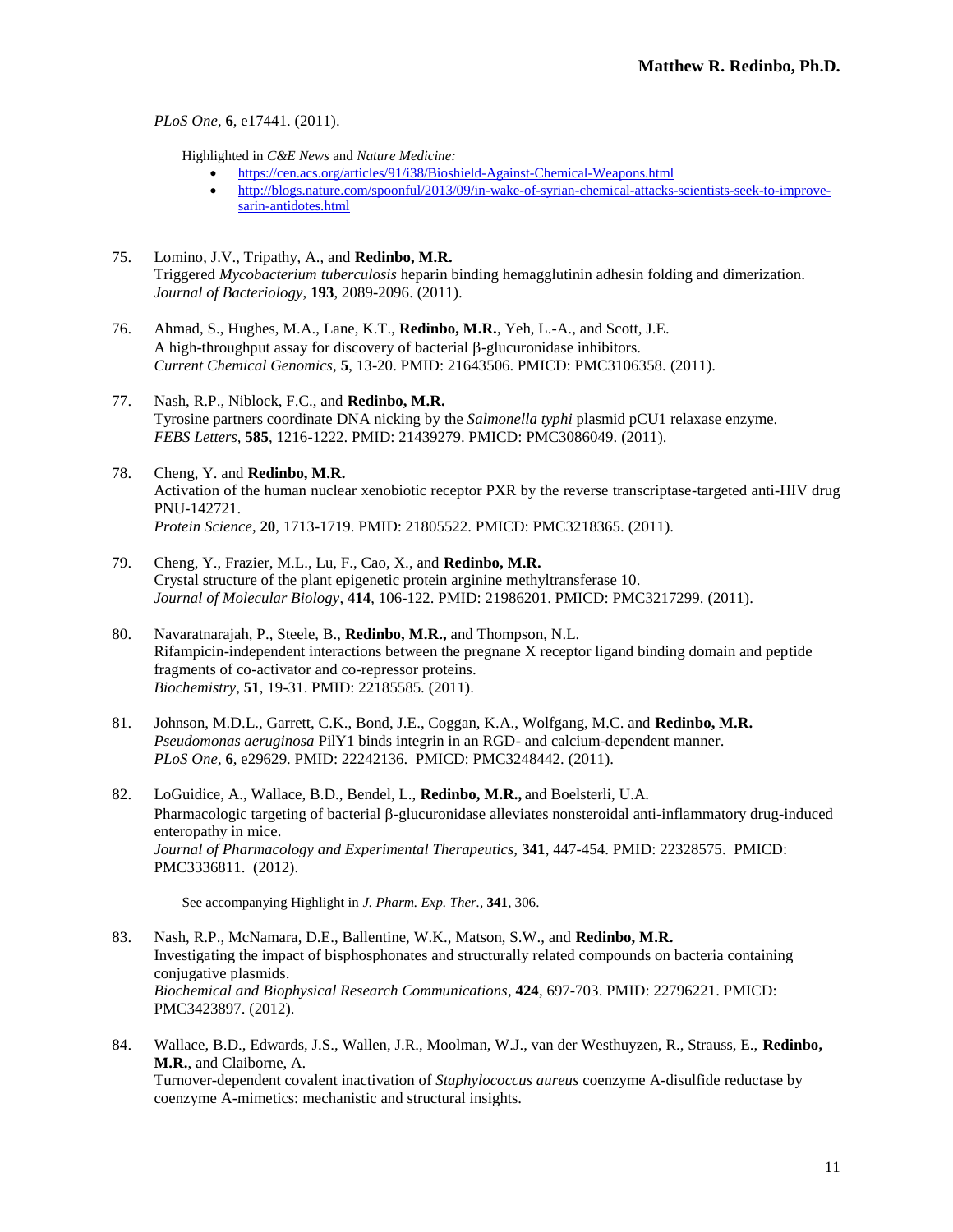*PLoS One*, **6**, e17441. (2011).

Highlighted in *C&E News* and *Nature Medicine:*

- <https://cen.acs.org/articles/91/i38/Bioshield-Against-Chemical-Weapons.html>
- [http://blogs.nature.com/spoonful/2013/09/in-wake-of-syrian-chemical-attacks-scientists-seek-to-improve](http://blogs.nature.com/spoonful/2013/09/in-wake-of-syrian-chemical-attacks-scientists-seek-to-improve-sarin-antidotes.html)[sarin-antidotes.html](http://blogs.nature.com/spoonful/2013/09/in-wake-of-syrian-chemical-attacks-scientists-seek-to-improve-sarin-antidotes.html)
- 75. Lomino, J.V., Tripathy, A., and **Redinbo, M.R.** Triggered *Mycobacterium tuberculosis* heparin binding hemagglutinin adhesin folding and dimerization. *Journal of Bacteriology*, **193**, 2089-2096. (2011).
- 76. Ahmad, S., Hughes, M.A., Lane, K.T., **Redinbo, M.R.**, Yeh, L.-A., and Scott, J.E. A high-throughput assay for discovery of bacterial  $\beta$ -glucuronidase inhibitors. *Current Chemical Genomics*, **5**, 13-20. PMID: 21643506. PMICD: PMC3106358. (2011).
- 77. Nash, R.P., Niblock, F.C., and **Redinbo, M.R.** Tyrosine partners coordinate DNA nicking by the *Salmonella typhi* plasmid pCU1 relaxase enzyme. *FEBS Letters,* **585**, 1216-1222. PMID: 21439279. PMICD: PMC3086049. (2011).
- 78. Cheng, Y. and **Redinbo, M.R.** Activation of the human nuclear xenobiotic receptor PXR by the reverse transcriptase-targeted anti-HIV drug PNU-142721. *Protein Science*, **20**, 1713-1719. PMID: 21805522. PMICD: PMC3218365. (2011).
- 79. Cheng, Y., Frazier, M.L., Lu, F., Cao, X., and **Redinbo, M.R.** Crystal structure of the plant epigenetic protein arginine methyltransferase 10. *Journal of Molecular Biology*, **414**, 106-122. PMID: 21986201. PMICD: PMC3217299. (2011).
- 80. Navaratnarajah, P., Steele, B., **Redinbo, M.R.,** and Thompson, N.L. Rifampicin-independent interactions between the pregnane X receptor ligand binding domain and peptide fragments of co-activator and co-repressor proteins. *Biochemistry*, **51**, 19-31. PMID: 22185585. (2011).
- 81. Johnson, M.D.L., Garrett, C.K., Bond, J.E., Coggan, K.A., Wolfgang, M.C. and **Redinbo, M.R.** *Pseudomonas aeruginosa* PilY1 binds integrin in an RGD- and calcium-dependent manner. *PLoS One*, **6**, e29629. PMID: 22242136. PMICD: PMC3248442. (2011).
- 82. LoGuidice, A., Wallace, B.D., Bendel, L., **Redinbo, M.R.,** and Boelsterli, U.A. Pharmacologic targeting of bacterial  $\beta$ -glucuronidase alleviates nonsteroidal anti-inflammatory drug-induced enteropathy in mice. *Journal of Pharmacology and Experimental Therapeutics,* **341**, 447-454. PMID: 22328575. PMICD: PMC3336811. (2012).

See accompanying Highlight in *J. Pharm. Exp. Ther.,* **341**, 306.

- 83. Nash, R.P., McNamara, D.E., Ballentine, W.K., Matson, S.W., and **Redinbo, M.R.** Investigating the impact of bisphosphonates and structurally related compounds on bacteria containing conjugative plasmids. *Biochemical and Biophysical Research Communications*, **424**, 697-703. PMID: 22796221. PMICD: PMC3423897. (2012).
- 84. Wallace, B.D., Edwards, J.S., Wallen, J.R., Moolman, W.J., van der Westhuyzen, R., Strauss, E., **Redinbo, M.R.**, and Claiborne, A. Turnover-dependent covalent inactivation of *Staphylococcus aureus* coenzyme A-disulfide reductase by coenzyme A-mimetics: mechanistic and structural insights.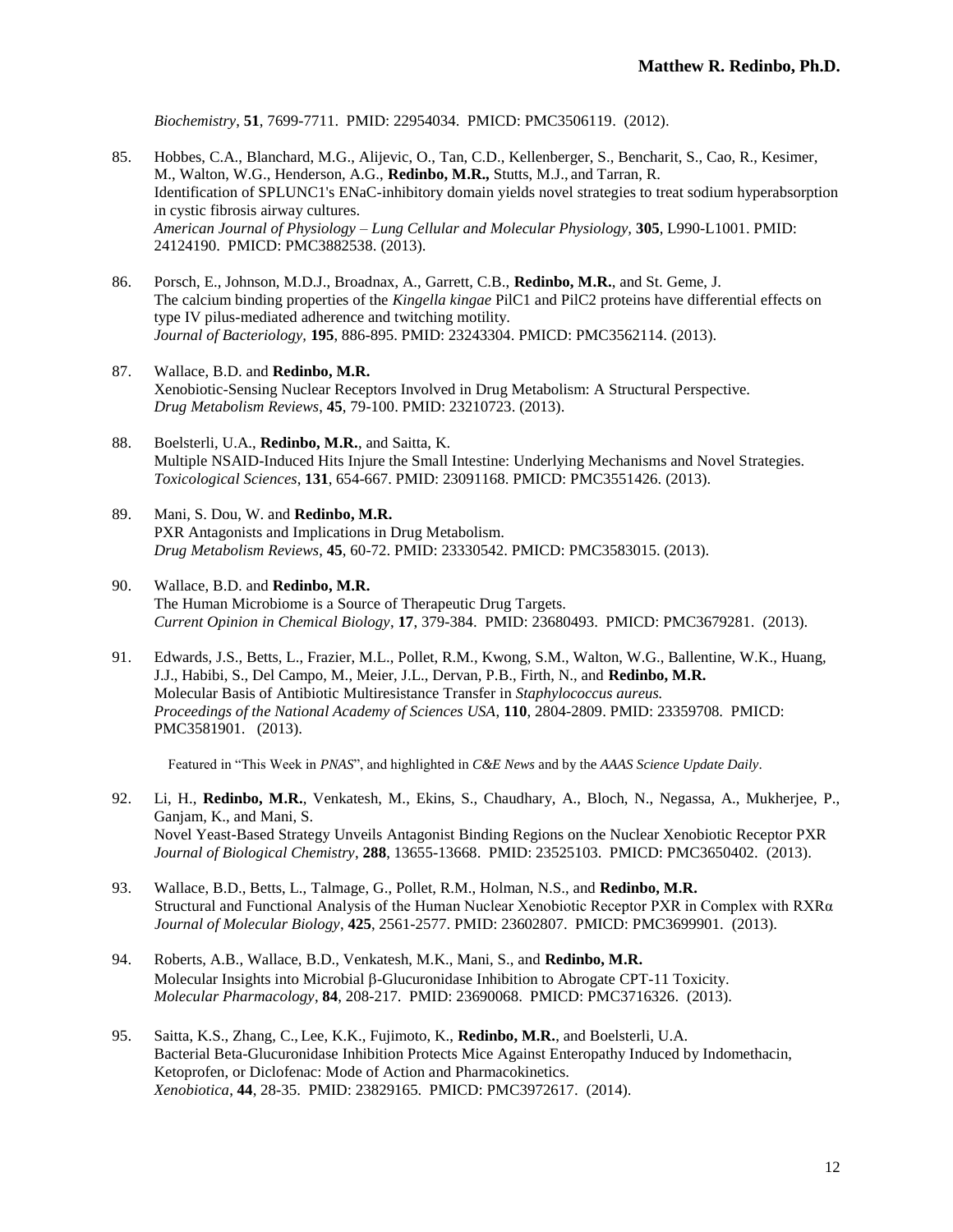*Biochemistry*, **51**, 7699-7711. PMID: 22954034. PMICD: PMC3506119. (2012).

- 85. Hobbes, C.A., Blanchard, M.G., Alijevic, O., Tan, C.D., Kellenberger, S., Bencharit, S., Cao, R., Kesimer, M., Walton, W.G., Henderson, A.G., **Redinbo, M.R.,** Stutts, M.J., and Tarran, R. Identification of SPLUNC1's ENaC-inhibitory domain yields novel strategies to treat sodium hyperabsorption in cystic fibrosis airway cultures. *American Journal of Physiology – Lung Cellular and Molecular Physiology,* **305**, L990-L1001. PMID: 24124190. PMICD: PMC3882538. (2013).
- 86. Porsch, E., Johnson, M.D.J., Broadnax, A., Garrett, C.B., **Redinbo, M.R.**, and St. Geme, J. The calcium binding properties of the *Kingella kingae* PilC1 and PilC2 proteins have differential effects on type IV pilus-mediated adherence and twitching motility. *Journal of Bacteriology,* **195**, 886-895. PMID: 23243304. PMICD: PMC3562114. (2013).
- 87. Wallace, B.D. and **Redinbo, M.R.** Xenobiotic-Sensing Nuclear Receptors Involved in Drug Metabolism: A Structural Perspective. *Drug Metabolism Reviews*, **45**, 79-100. PMID: 23210723. (2013).
- 88. Boelsterli, U.A., **Redinbo, M.R.**, and Saitta, K. Multiple NSAID-Induced Hits Injure the Small Intestine: Underlying Mechanisms and Novel Strategies. *Toxicological Sciences*, **131**, 654-667. PMID: 23091168. PMICD: PMC3551426. (2013).
- 89. Mani, S. Dou, W. and **Redinbo, M.R.** PXR Antagonists and Implications in Drug Metabolism. *Drug Metabolism Reviews*, **45**, 60-72. PMID: 23330542. PMICD: PMC3583015. (2013).
- 90. Wallace, B.D. and **Redinbo, M.R.** The Human Microbiome is a Source of Therapeutic Drug Targets. *Current Opinion in Chemical Biology*, **17**, 379-384. PMID: 23680493. PMICD: PMC3679281. (2013).
- 91. Edwards, J.S., Betts, L., Frazier, M.L., Pollet, R.M., Kwong, S.M., Walton, W.G., Ballentine, W.K., Huang, J.J., Habibi, S., Del Campo, M., Meier, J.L., Dervan, P.B., Firth, N., and **Redinbo, M.R.** Molecular Basis of Antibiotic Multiresistance Transfer in *Staphylococcus aureus. Proceedings of the National Academy of Sciences USA*, **110**, 2804-2809. PMID: 23359708. PMICD: PMC3581901. (2013).

Featured in "This Week in *PNAS*", and highlighted in *C&E News* and by the *AAAS Science Update Daily*.

- 92. Li, H., **Redinbo, M.R.**, Venkatesh, M., Ekins, S., Chaudhary, A., Bloch, N., Negassa, A., Mukherjee, P., Ganjam, K., and Mani, S. Novel Yeast-Based Strategy Unveils Antagonist Binding Regions on the Nuclear Xenobiotic Receptor PXR *Journal of Biological Chemistry*, **288**, 13655-13668. PMID: 23525103. PMICD: PMC3650402. (2013).
- 93. Wallace, B.D., Betts, L., Talmage, G., Pollet, R.M., Holman, N.S., and **Redinbo, M.R.** Structural and Functional Analysis of the Human Nuclear Xenobiotic Receptor PXR in Complex with RXRα *Journal of Molecular Biology*, **425**, 2561-2577. PMID: 23602807. PMICD: PMC3699901. (2013).
- 94. Roberts, A.B., Wallace, B.D., Venkatesh, M.K., Mani, S., and **Redinbo, M.R.** Molecular Insights into Microbial  $\beta$ -Glucuronidase Inhibition to Abrogate CPT-11 Toxicity. *Molecular Pharmacology*, **84**, 208-217. PMID: 23690068. PMICD: PMC3716326. (2013).
- 95. Saitta, K.S., Zhang, C., Lee, K.K., Fujimoto, K., **Redinbo, M.R.**, and Boelsterli, U.A. Bacterial Beta-Glucuronidase Inhibition Protects Mice Against Enteropathy Induced by Indomethacin, Ketoprofen, or Diclofenac: Mode of Action and Pharmacokinetics. *Xenobiotica*, **44**, 28-35. PMID: 23829165. PMICD: PMC3972617. (2014).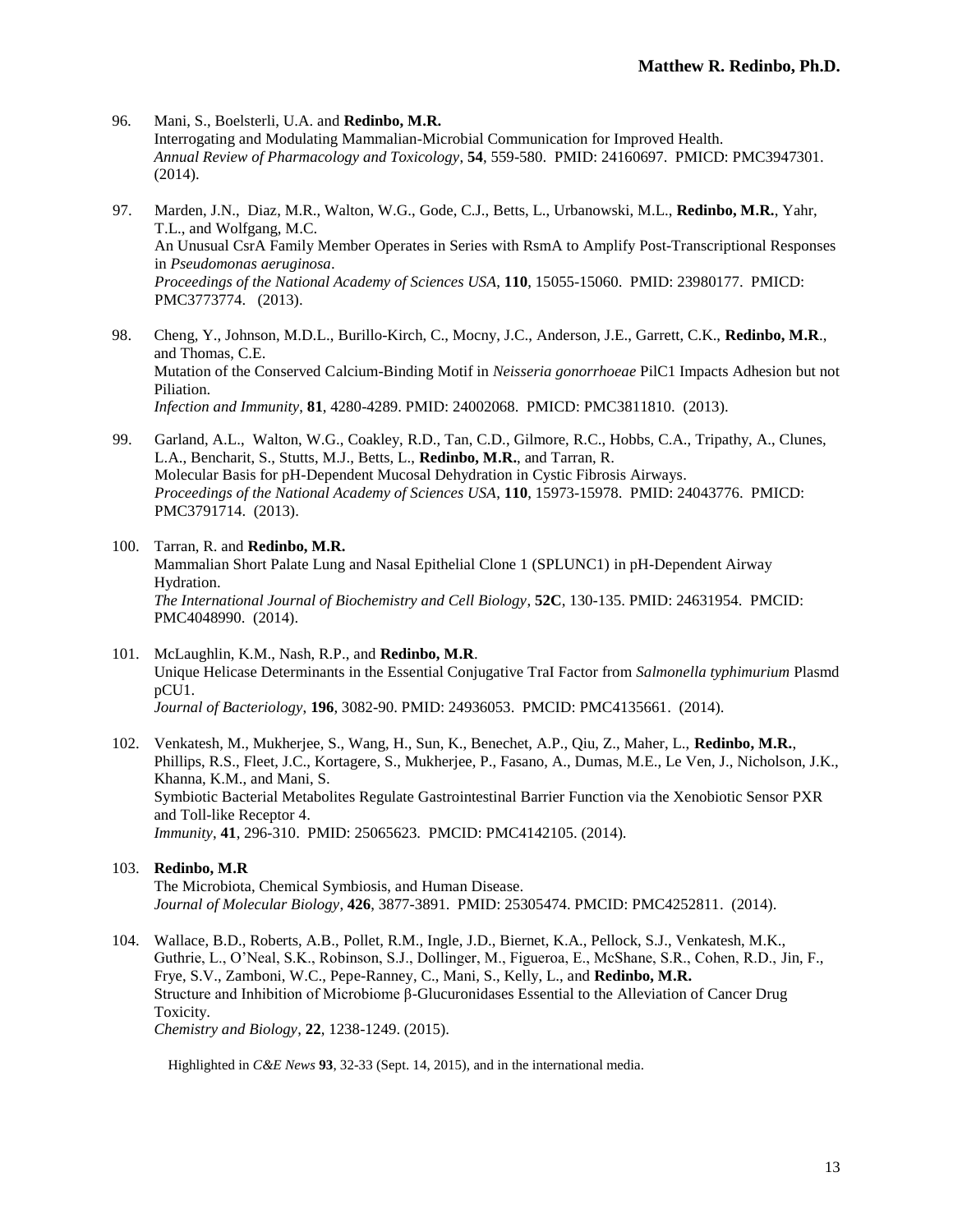- 96*.* Mani, S., Boelsterli, U.A. and **Redinbo, M.R.** Interrogating and Modulating Mammalian-Microbial Communication for Improved Health. *Annual Review of Pharmacology and Toxicology*, **54**, 559-580. PMID: 24160697. PMICD: PMC3947301. (2014).
- 97. Marden, J.N., Diaz, M.R., Walton, W.G., Gode, C.J., Betts, L., Urbanowski, M.L., **Redinbo, M.R.**, Yahr, T.L., and Wolfgang, M.C. An Unusual CsrA Family Member Operates in Series with RsmA to Amplify Post-Transcriptional Responses in *Pseudomonas aeruginosa*. *Proceedings of the National Academy of Sciences USA*, **110**, 15055-15060. PMID: 23980177. PMICD: PMC3773774. (2013).
- 98. Cheng, Y., Johnson, M.D.L., Burillo-Kirch, C., Mocny, J.C., Anderson, J.E., Garrett, C.K., **Redinbo, M.R**., and Thomas, C.E. Mutation of the Conserved Calcium-Binding Motif in *Neisseria gonorrhoeae* PilC1 Impacts Adhesion but not Piliation. *Infection and Immunity*, **81**, 4280-4289. PMID: 24002068. PMICD: PMC3811810. (2013).
- 99. Garland, A.L., Walton, W.G., Coakley, R.D., Tan, C.D., Gilmore, R.C., Hobbs, C.A., Tripathy, A., Clunes, L.A., Bencharit, S., Stutts, M.J., Betts, L., **Redinbo, M.R.**, and Tarran, R. Molecular Basis for pH-Dependent Mucosal Dehydration in Cystic Fibrosis Airways. *Proceedings of the National Academy of Sciences USA*, **110**, 15973-15978. PMID: 24043776. PMICD: PMC3791714. (2013).
- 100. Tarran, R. and **Redinbo, M.R.** Mammalian Short Palate Lung and Nasal Epithelial Clone 1 (SPLUNC1) in pH-Dependent Airway Hydration. *The International Journal of Biochemistry and Cell Biology*, **52C**, 130-135. PMID: 24631954. PMCID: PMC4048990. (2014).
- 101. McLaughlin, K.M., Nash, R.P., and **Redinbo, M.R**. Unique Helicase Determinants in the Essential Conjugative TraI Factor from *Salmonella typhimurium* Plasmd pCU1. *Journal of Bacteriology*, **196**, 3082-90. PMID: 24936053. PMCID: PMC4135661. (2014).
- 102. Venkatesh, M., Mukherjee, S., Wang, H., Sun, K., Benechet, A.P., Qiu, Z., Maher, L., **Redinbo, M.R.**, Phillips, R.S., Fleet, J.C., Kortagere, S., Mukherjee, P., Fasano, A., Dumas, M.E., Le Ven, J., Nicholson, J.K., Khanna, K.M., and Mani, S. Symbiotic Bacterial Metabolites Regulate Gastrointestinal Barrier Function via the Xenobiotic Sensor PXR and Toll-like Receptor 4. *Immunity*, **41**, 296-310. PMID: 25065623. PMCID: PMC4142105. (2014).

# 103. **Redinbo, M.R**

The Microbiota, Chemical Symbiosis, and Human Disease. *Journal of Molecular Biology*, **426**, 3877-3891. PMID: 25305474. PMCID: PMC4252811. (2014).

104. Wallace, B.D., Roberts, A.B., Pollet, R.M., Ingle, J.D., Biernet, K.A., Pellock, S.J., Venkatesh, M.K., Guthrie, L., O'Neal, S.K., Robinson, S.J., Dollinger, M., Figueroa, E., McShane, S.R., Cohen, R.D., Jin, F., Frye, S.V., Zamboni, W.C., Pepe-Ranney, C., Mani, S., Kelly, L., and **Redinbo, M.R.** Structure and Inhibition of Microbiome β-Glucuronidases Essential to the Alleviation of Cancer Drug Toxicity. *Chemistry and Biology*, **22**, 1238-1249. (2015).

Highlighted in *C&E News* **93**, 32-33 (Sept. 14, 2015), and in the international media.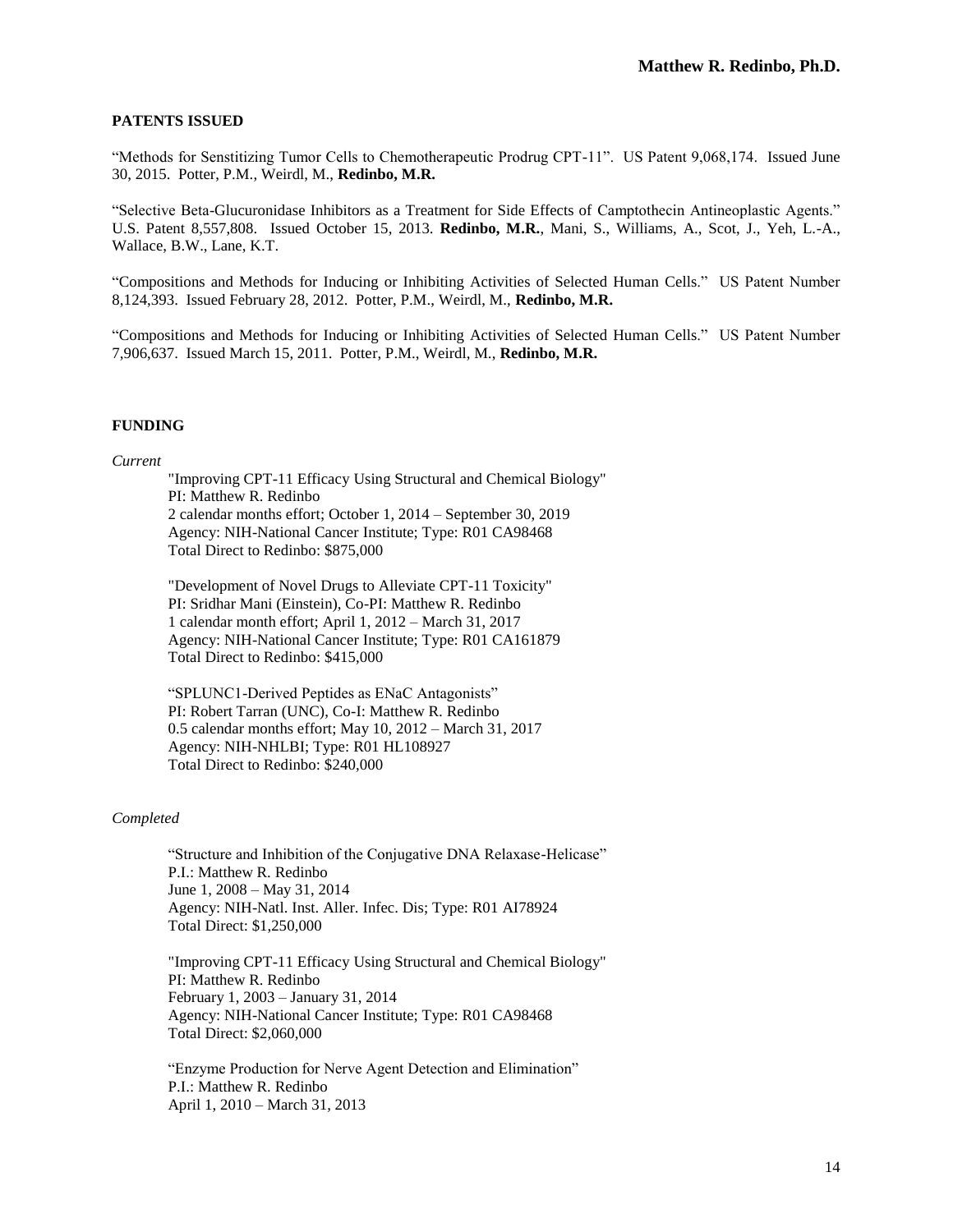# **PATENTS ISSUED**

"Methods for Senstitizing Tumor Cells to Chemotherapeutic Prodrug CPT-11". US Patent 9,068,174. Issued June 30, 2015. Potter, P.M., Weirdl, M., **Redinbo, M.R.**

"Selective Beta-Glucuronidase Inhibitors as a Treatment for Side Effects of Camptothecin Antineoplastic Agents." U.S. Patent 8,557,808. Issued October 15, 2013. **Redinbo, M.R.**, Mani, S., Williams, A., Scot, J., Yeh, L.-A., Wallace, B.W., Lane, K.T.

"Compositions and Methods for Inducing or Inhibiting Activities of Selected Human Cells." US Patent Number 8,124,393. Issued February 28, 2012. Potter, P.M., Weirdl, M., **Redinbo, M.R.**

"Compositions and Methods for Inducing or Inhibiting Activities of Selected Human Cells." US Patent Number 7,906,637. Issued March 15, 2011. Potter, P.M., Weirdl, M., **Redinbo, M.R.**

### **FUNDING**

### *Current*

"Improving CPT-11 Efficacy Using Structural and Chemical Biology" PI: Matthew R. Redinbo 2 calendar months effort; October 1, 2014 – September 30, 2019 Agency: NIH-National Cancer Institute; Type: R01 CA98468 Total Direct to Redinbo: \$875,000

"Development of Novel Drugs to Alleviate CPT-11 Toxicity" PI: Sridhar Mani (Einstein), Co-PI: Matthew R. Redinbo 1 calendar month effort; April 1, 2012 – March 31, 2017 Agency: NIH-National Cancer Institute; Type: R01 CA161879 Total Direct to Redinbo: \$415,000

"SPLUNC1-Derived Peptides as ENaC Antagonists" PI: Robert Tarran (UNC), Co-I: Matthew R. Redinbo 0.5 calendar months effort; May 10, 2012 – March 31, 2017 Agency: NIH-NHLBI; Type: R01 HL108927 Total Direct to Redinbo: \$240,000

#### *Completed*

"Structure and Inhibition of the Conjugative DNA Relaxase-Helicase" P.I.: Matthew R. Redinbo June 1, 2008 – May 31, 2014 Agency: NIH-Natl. Inst. Aller. Infec. Dis; Type: R01 AI78924 Total Direct: \$1,250,000

"Improving CPT-11 Efficacy Using Structural and Chemical Biology" PI: Matthew R. Redinbo February 1, 2003 – January 31, 2014 Agency: NIH-National Cancer Institute; Type: R01 CA98468 Total Direct: \$2,060,000

"Enzyme Production for Nerve Agent Detection and Elimination" P.I.: Matthew R. Redinbo April 1, 2010 – March 31, 2013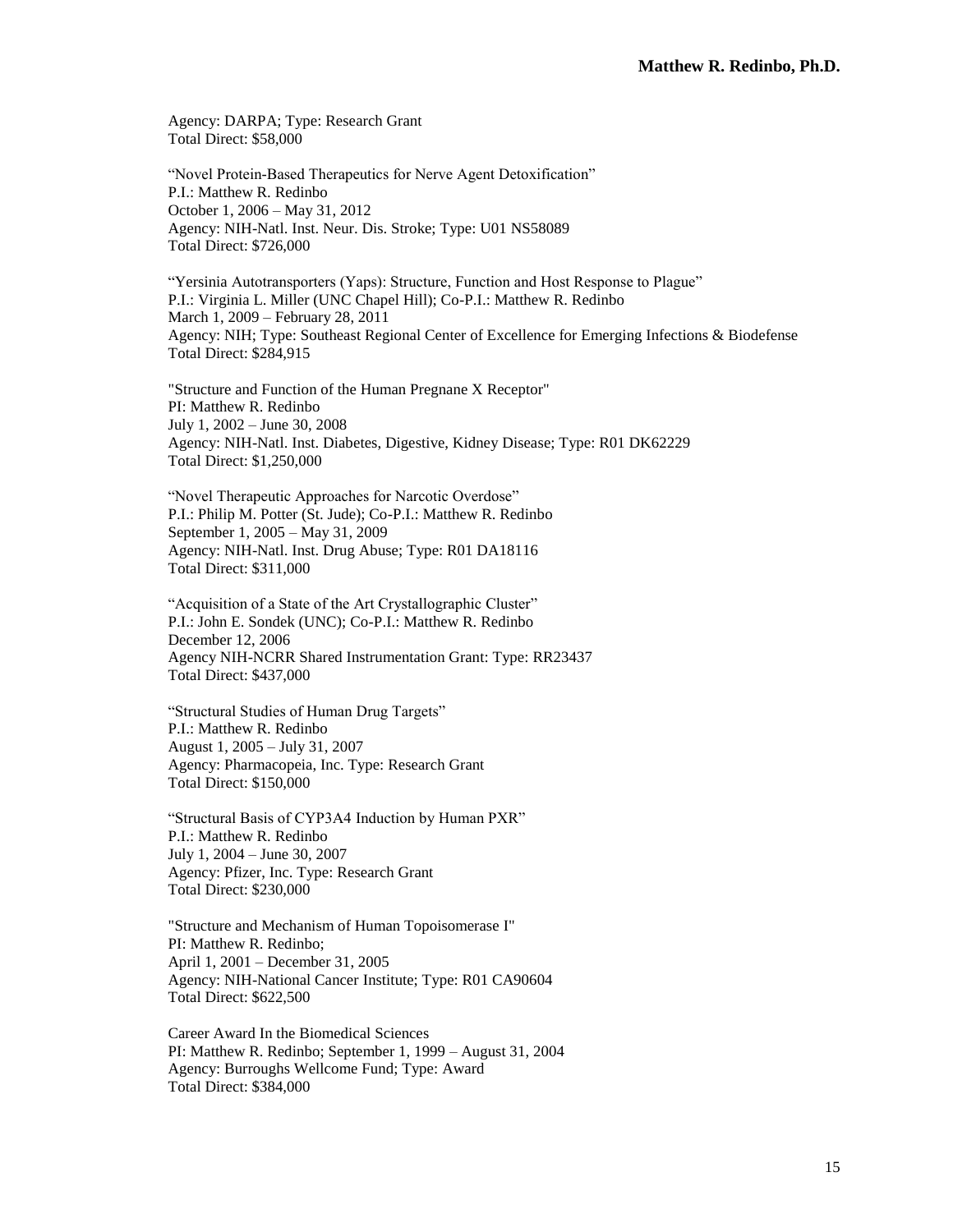Agency: DARPA; Type: Research Grant Total Direct: \$58,000

"Novel Protein-Based Therapeutics for Nerve Agent Detoxification" P.I.: Matthew R. Redinbo October 1, 2006 – May 31, 2012 Agency: NIH-Natl. Inst. Neur. Dis. Stroke; Type: U01 NS58089 Total Direct: \$726,000

"Yersinia Autotransporters (Yaps): Structure, Function and Host Response to Plague" P.I.: Virginia L. Miller (UNC Chapel Hill); Co-P.I.: Matthew R. Redinbo March 1, 2009 – February 28, 2011 Agency: NIH; Type: Southeast Regional Center of Excellence for Emerging Infections & Biodefense Total Direct: \$284,915

"Structure and Function of the Human Pregnane X Receptor" PI: Matthew R. Redinbo July 1, 2002 – June 30, 2008 Agency: NIH-Natl. Inst. Diabetes, Digestive, Kidney Disease; Type: R01 DK62229 Total Direct: \$1,250,000

"Novel Therapeutic Approaches for Narcotic Overdose" P.I.: Philip M. Potter (St. Jude); Co-P.I.: Matthew R. Redinbo September 1, 2005 – May 31, 2009 Agency: NIH-Natl. Inst. Drug Abuse; Type: R01 DA18116 Total Direct: \$311,000

"Acquisition of a State of the Art Crystallographic Cluster" P.I.: John E. Sondek (UNC); Co-P.I.: Matthew R. Redinbo December 12, 2006 Agency NIH-NCRR Shared Instrumentation Grant: Type: RR23437 Total Direct: \$437,000

"Structural Studies of Human Drug Targets" P.I.: Matthew R. Redinbo August 1, 2005 – July 31, 2007 Agency: Pharmacopeia, Inc. Type: Research Grant Total Direct: \$150,000

"Structural Basis of CYP3A4 Induction by Human PXR" P.I.: Matthew R. Redinbo July 1, 2004 – June 30, 2007 Agency: Pfizer, Inc. Type: Research Grant Total Direct: \$230,000

"Structure and Mechanism of Human Topoisomerase I" PI: Matthew R. Redinbo; April 1, 2001 – December 31, 2005 Agency: NIH-National Cancer Institute; Type: R01 CA90604 Total Direct: \$622,500

Career Award In the Biomedical Sciences PI: Matthew R. Redinbo; September 1, 1999 – August 31, 2004 Agency: Burroughs Wellcome Fund; Type: Award Total Direct: \$384,000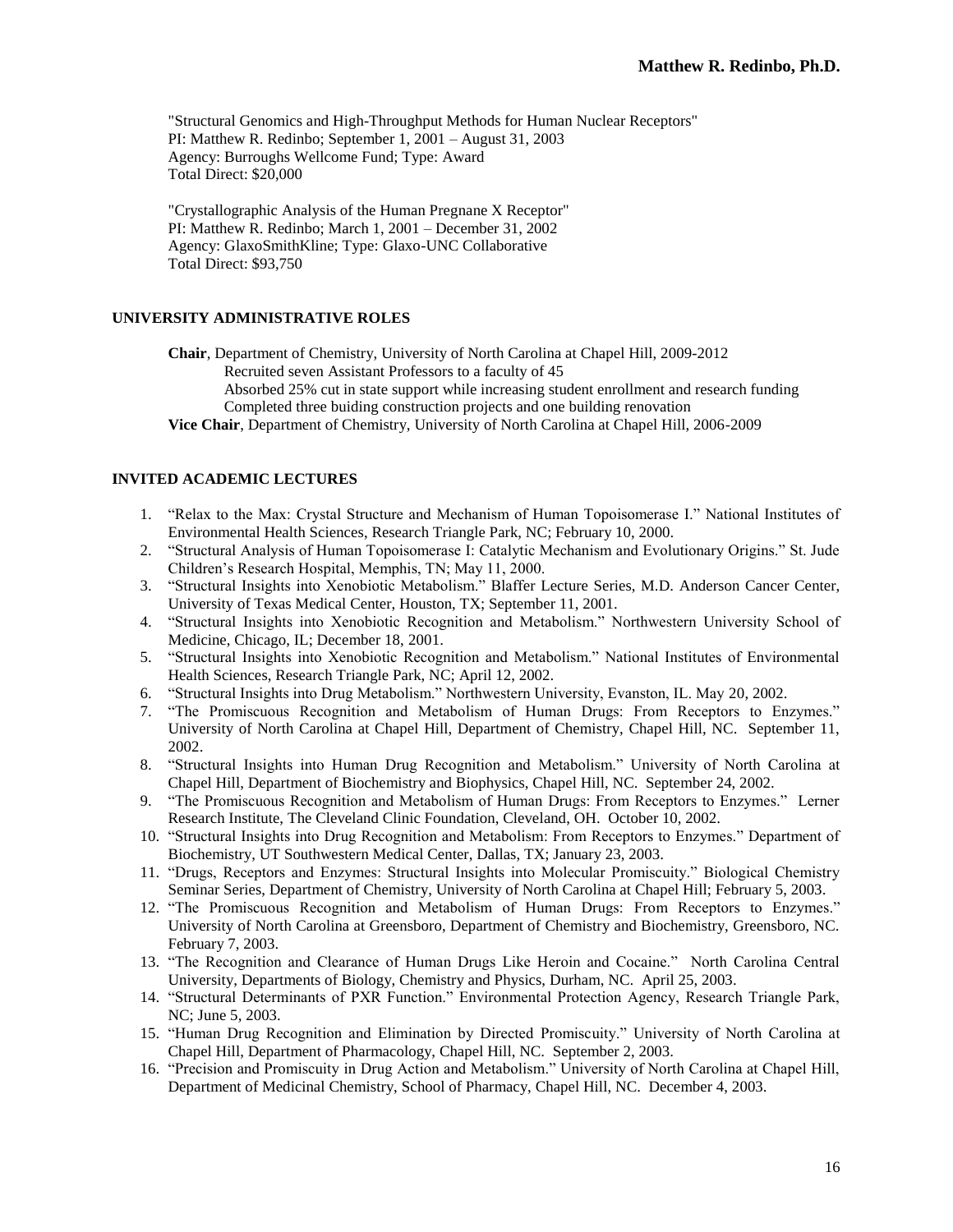"Structural Genomics and High-Throughput Methods for Human Nuclear Receptors" PI: Matthew R. Redinbo; September 1, 2001 – August 31, 2003 Agency: Burroughs Wellcome Fund; Type: Award Total Direct: \$20,000

"Crystallographic Analysis of the Human Pregnane X Receptor" PI: Matthew R. Redinbo; March 1, 2001 – December 31, 2002 Agency: GlaxoSmithKline; Type: Glaxo-UNC Collaborative Total Direct: \$93,750

# **UNIVERSITY ADMINISTRATIVE ROLES**

**Chair**, Department of Chemistry, University of North Carolina at Chapel Hill, 2009-2012

Recruited seven Assistant Professors to a faculty of 45

Absorbed 25% cut in state support while increasing student enrollment and research funding Completed three buiding construction projects and one building renovation

**Vice Chair**, Department of Chemistry, University of North Carolina at Chapel Hill, 2006-2009

# **INVITED ACADEMIC LECTURES**

- 1. "Relax to the Max: Crystal Structure and Mechanism of Human Topoisomerase I." National Institutes of Environmental Health Sciences, Research Triangle Park, NC; February 10, 2000.
- 2. "Structural Analysis of Human Topoisomerase I: Catalytic Mechanism and Evolutionary Origins." St. Jude Children's Research Hospital, Memphis, TN; May 11, 2000.
- 3. "Structural Insights into Xenobiotic Metabolism." Blaffer Lecture Series, M.D. Anderson Cancer Center, University of Texas Medical Center, Houston, TX; September 11, 2001.
- 4. "Structural Insights into Xenobiotic Recognition and Metabolism." Northwestern University School of Medicine, Chicago, IL; December 18, 2001.
- 5. "Structural Insights into Xenobiotic Recognition and Metabolism." National Institutes of Environmental Health Sciences, Research Triangle Park, NC; April 12, 2002.
- 6. "Structural Insights into Drug Metabolism." Northwestern University, Evanston, IL. May 20, 2002.
- 7. "The Promiscuous Recognition and Metabolism of Human Drugs: From Receptors to Enzymes." University of North Carolina at Chapel Hill, Department of Chemistry, Chapel Hill, NC. September 11, 2002.
- 8. "Structural Insights into Human Drug Recognition and Metabolism." University of North Carolina at Chapel Hill, Department of Biochemistry and Biophysics, Chapel Hill, NC. September 24, 2002.
- 9. "The Promiscuous Recognition and Metabolism of Human Drugs: From Receptors to Enzymes." Lerner Research Institute, The Cleveland Clinic Foundation, Cleveland, OH. October 10, 2002.
- 10. "Structural Insights into Drug Recognition and Metabolism: From Receptors to Enzymes." Department of Biochemistry, UT Southwestern Medical Center, Dallas, TX; January 23, 2003.
- 11. "Drugs, Receptors and Enzymes: Structural Insights into Molecular Promiscuity." Biological Chemistry Seminar Series, Department of Chemistry, University of North Carolina at Chapel Hill; February 5, 2003.
- 12. "The Promiscuous Recognition and Metabolism of Human Drugs: From Receptors to Enzymes." University of North Carolina at Greensboro, Department of Chemistry and Biochemistry, Greensboro, NC. February 7, 2003.
- 13. "The Recognition and Clearance of Human Drugs Like Heroin and Cocaine." North Carolina Central University, Departments of Biology, Chemistry and Physics, Durham, NC. April 25, 2003.
- 14. "Structural Determinants of PXR Function." Environmental Protection Agency, Research Triangle Park, NC; June 5, 2003.
- 15. "Human Drug Recognition and Elimination by Directed Promiscuity." University of North Carolina at Chapel Hill, Department of Pharmacology, Chapel Hill, NC. September 2, 2003.
- 16. "Precision and Promiscuity in Drug Action and Metabolism." University of North Carolina at Chapel Hill, Department of Medicinal Chemistry, School of Pharmacy, Chapel Hill, NC. December 4, 2003.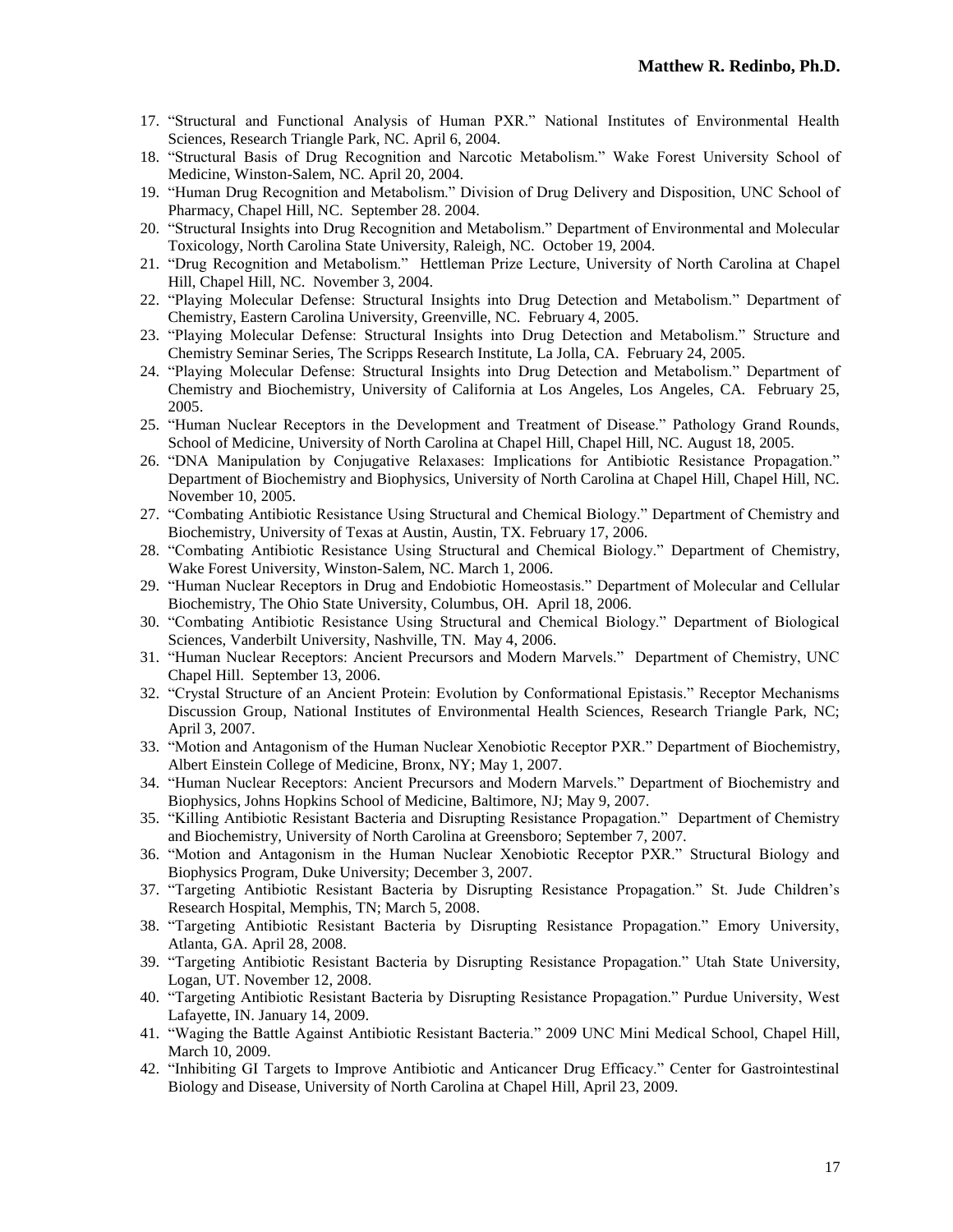- 17. "Structural and Functional Analysis of Human PXR." National Institutes of Environmental Health Sciences, Research Triangle Park, NC. April 6, 2004.
- 18. "Structural Basis of Drug Recognition and Narcotic Metabolism." Wake Forest University School of Medicine, Winston-Salem, NC. April 20, 2004.
- 19. "Human Drug Recognition and Metabolism." Division of Drug Delivery and Disposition, UNC School of Pharmacy, Chapel Hill, NC. September 28. 2004.
- 20. "Structural Insights into Drug Recognition and Metabolism." Department of Environmental and Molecular Toxicology, North Carolina State University, Raleigh, NC. October 19, 2004.
- 21. "Drug Recognition and Metabolism." Hettleman Prize Lecture, University of North Carolina at Chapel Hill, Chapel Hill, NC. November 3, 2004.
- 22. "Playing Molecular Defense: Structural Insights into Drug Detection and Metabolism." Department of Chemistry, Eastern Carolina University, Greenville, NC. February 4, 2005.
- 23. "Playing Molecular Defense: Structural Insights into Drug Detection and Metabolism." Structure and Chemistry Seminar Series, The Scripps Research Institute, La Jolla, CA. February 24, 2005.
- 24. "Playing Molecular Defense: Structural Insights into Drug Detection and Metabolism." Department of Chemistry and Biochemistry, University of California at Los Angeles, Los Angeles, CA. February 25, 2005.
- 25. "Human Nuclear Receptors in the Development and Treatment of Disease." Pathology Grand Rounds, School of Medicine, University of North Carolina at Chapel Hill, Chapel Hill, NC. August 18, 2005.
- 26. "DNA Manipulation by Conjugative Relaxases: Implications for Antibiotic Resistance Propagation." Department of Biochemistry and Biophysics, University of North Carolina at Chapel Hill, Chapel Hill, NC. November 10, 2005.
- 27. "Combating Antibiotic Resistance Using Structural and Chemical Biology." Department of Chemistry and Biochemistry, University of Texas at Austin, Austin, TX. February 17, 2006.
- 28. "Combating Antibiotic Resistance Using Structural and Chemical Biology." Department of Chemistry, Wake Forest University, Winston-Salem, NC. March 1, 2006.
- 29. "Human Nuclear Receptors in Drug and Endobiotic Homeostasis." Department of Molecular and Cellular Biochemistry, The Ohio State University, Columbus, OH. April 18, 2006.
- 30. "Combating Antibiotic Resistance Using Structural and Chemical Biology." Department of Biological Sciences, Vanderbilt University, Nashville, TN. May 4, 2006.
- 31. "Human Nuclear Receptors: Ancient Precursors and Modern Marvels." Department of Chemistry, UNC Chapel Hill. September 13, 2006.
- 32. "Crystal Structure of an Ancient Protein: Evolution by Conformational Epistasis." Receptor Mechanisms Discussion Group, National Institutes of Environmental Health Sciences, Research Triangle Park, NC; April 3, 2007.
- 33. "Motion and Antagonism of the Human Nuclear Xenobiotic Receptor PXR." Department of Biochemistry, Albert Einstein College of Medicine, Bronx, NY; May 1, 2007.
- 34. "Human Nuclear Receptors: Ancient Precursors and Modern Marvels." Department of Biochemistry and Biophysics, Johns Hopkins School of Medicine, Baltimore, NJ; May 9, 2007.
- 35. "Killing Antibiotic Resistant Bacteria and Disrupting Resistance Propagation." Department of Chemistry and Biochemistry, University of North Carolina at Greensboro; September 7, 2007.
- 36. "Motion and Antagonism in the Human Nuclear Xenobiotic Receptor PXR." Structural Biology and Biophysics Program, Duke University; December 3, 2007.
- 37. "Targeting Antibiotic Resistant Bacteria by Disrupting Resistance Propagation." St. Jude Children's Research Hospital, Memphis, TN; March 5, 2008.
- 38. "Targeting Antibiotic Resistant Bacteria by Disrupting Resistance Propagation." Emory University, Atlanta, GA. April 28, 2008.
- 39. "Targeting Antibiotic Resistant Bacteria by Disrupting Resistance Propagation." Utah State University, Logan, UT. November 12, 2008.
- 40. "Targeting Antibiotic Resistant Bacteria by Disrupting Resistance Propagation." Purdue University, West Lafayette, IN. January 14, 2009.
- 41. "Waging the Battle Against Antibiotic Resistant Bacteria." 2009 UNC Mini Medical School, Chapel Hill, March 10, 2009.
- 42. "Inhibiting GI Targets to Improve Antibiotic and Anticancer Drug Efficacy." Center for Gastrointestinal Biology and Disease, University of North Carolina at Chapel Hill, April 23, 2009.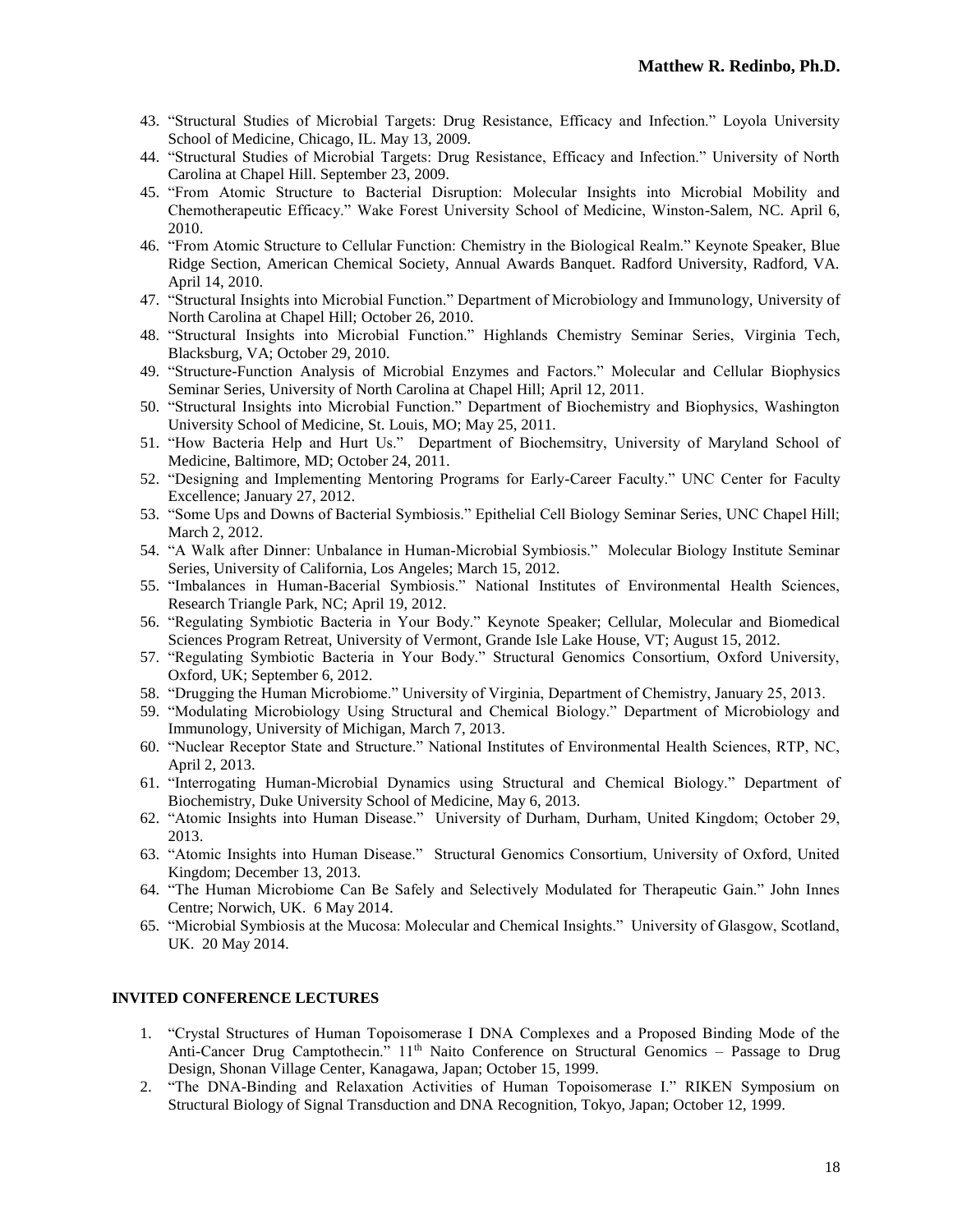- 43. "Structural Studies of Microbial Targets: Drug Resistance, Efficacy and Infection." Loyola University School of Medicine, Chicago, IL. May 13, 2009.
- 44. "Structural Studies of Microbial Targets: Drug Resistance, Efficacy and Infection." University of North Carolina at Chapel Hill. September 23, 2009.
- 45. "From Atomic Structure to Bacterial Disruption: Molecular Insights into Microbial Mobility and Chemotherapeutic Efficacy." Wake Forest University School of Medicine, Winston-Salem, NC. April 6, 2010.
- 46. "From Atomic Structure to Cellular Function: Chemistry in the Biological Realm." Keynote Speaker, Blue Ridge Section, American Chemical Society, Annual Awards Banquet. Radford University, Radford, VA. April 14, 2010.
- 47. "Structural Insights into Microbial Function." Department of Microbiology and Immunology, University of North Carolina at Chapel Hill; October 26, 2010.
- 48. "Structural Insights into Microbial Function." Highlands Chemistry Seminar Series, Virginia Tech, Blacksburg, VA; October 29, 2010.
- 49. "Structure-Function Analysis of Microbial Enzymes and Factors." Molecular and Cellular Biophysics Seminar Series, University of North Carolina at Chapel Hill; April 12, 2011.
- 50. "Structural Insights into Microbial Function." Department of Biochemistry and Biophysics, Washington University School of Medicine, St. Louis, MO; May 25, 2011.
- 51. "How Bacteria Help and Hurt Us." Department of Biochemsitry, University of Maryland School of Medicine, Baltimore, MD; October 24, 2011.
- 52. "Designing and Implementing Mentoring Programs for Early-Career Faculty." UNC Center for Faculty Excellence; January 27, 2012.
- 53. "Some Ups and Downs of Bacterial Symbiosis." Epithelial Cell Biology Seminar Series, UNC Chapel Hill; March 2, 2012.
- 54. "A Walk after Dinner: Unbalance in Human-Microbial Symbiosis." Molecular Biology Institute Seminar Series, University of California, Los Angeles; March 15, 2012.
- 55. "Imbalances in Human-Bacerial Symbiosis." National Institutes of Environmental Health Sciences, Research Triangle Park, NC; April 19, 2012.
- 56. "Regulating Symbiotic Bacteria in Your Body." Keynote Speaker; Cellular, Molecular and Biomedical Sciences Program Retreat, University of Vermont, Grande Isle Lake House, VT; August 15, 2012.
- 57. "Regulating Symbiotic Bacteria in Your Body." Structural Genomics Consortium, Oxford University, Oxford, UK; September 6, 2012.
- 58. "Drugging the Human Microbiome." University of Virginia, Department of Chemistry, January 25, 2013.
- 59. "Modulating Microbiology Using Structural and Chemical Biology." Department of Microbiology and Immunology, University of Michigan, March 7, 2013.
- 60. "Nuclear Receptor State and Structure." National Institutes of Environmental Health Sciences, RTP, NC, April 2, 2013.
- 61. "Interrogating Human-Microbial Dynamics using Structural and Chemical Biology." Department of Biochemistry, Duke University School of Medicine, May 6, 2013.
- 62. "Atomic Insights into Human Disease." University of Durham, Durham, United Kingdom; October 29, 2013.
- 63. "Atomic Insights into Human Disease." Structural Genomics Consortium, University of Oxford, United Kingdom; December 13, 2013.
- 64. "The Human Microbiome Can Be Safely and Selectively Modulated for Therapeutic Gain." John Innes Centre; Norwich, UK. 6 May 2014.
- 65. "Microbial Symbiosis at the Mucosa: Molecular and Chemical Insights." University of Glasgow, Scotland, UK. 20 May 2014.

# **INVITED CONFERENCE LECTURES**

- 1. "Crystal Structures of Human Topoisomerase I DNA Complexes and a Proposed Binding Mode of the Anti-Cancer Drug Camptothecin." 11<sup>th</sup> Naito Conference on Structural Genomics – Passage to Drug Design, Shonan Village Center, Kanagawa, Japan; October 15, 1999.
- 2. "The DNA-Binding and Relaxation Activities of Human Topoisomerase I." RIKEN Symposium on Structural Biology of Signal Transduction and DNA Recognition, Tokyo, Japan; October 12, 1999.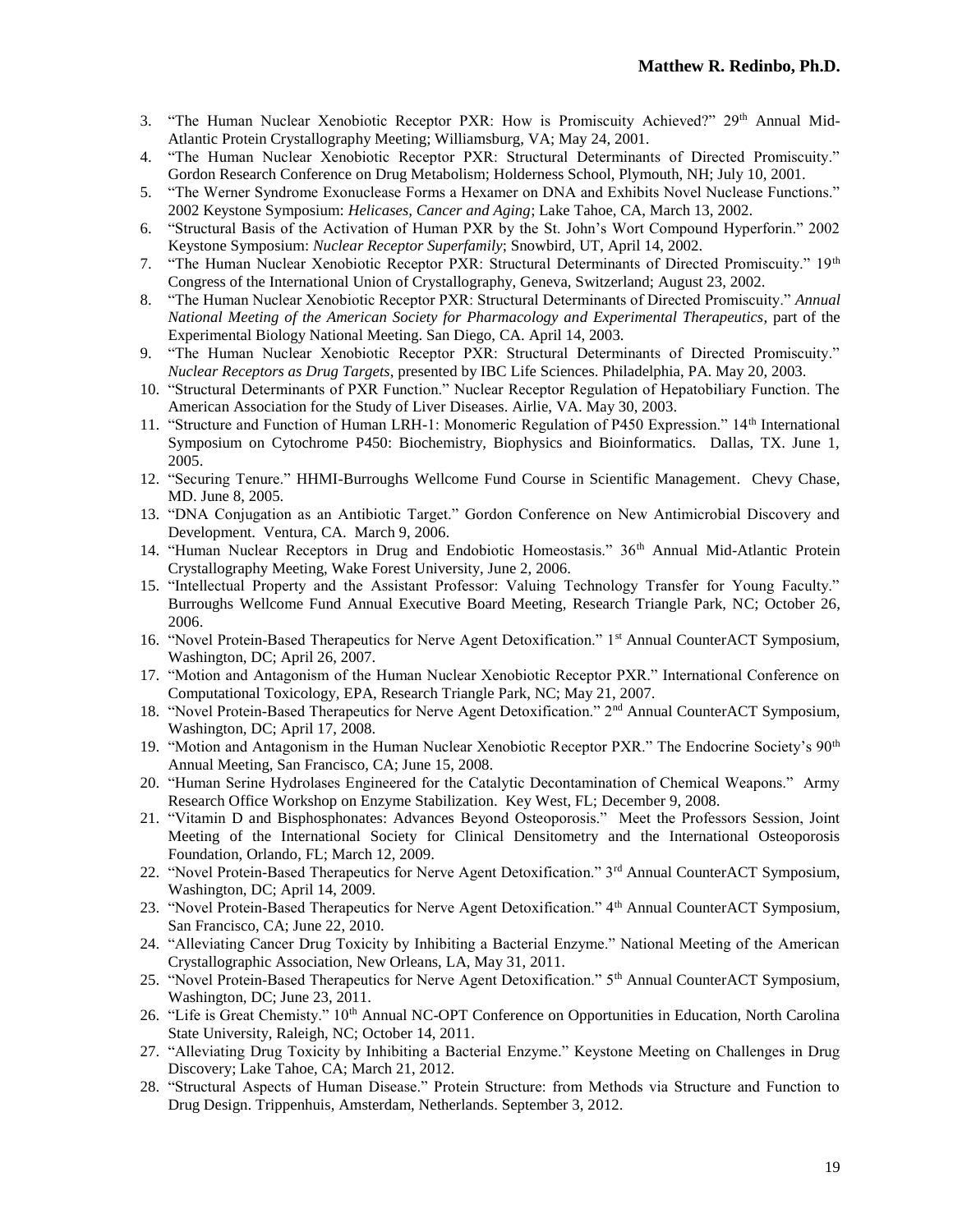- 3. "The Human Nuclear Xenobiotic Receptor PXR: How is Promiscuity Achieved?" 29th Annual Mid-Atlantic Protein Crystallography Meeting; Williamsburg, VA; May 24, 2001.
- 4. "The Human Nuclear Xenobiotic Receptor PXR: Structural Determinants of Directed Promiscuity." Gordon Research Conference on Drug Metabolism; Holderness School, Plymouth, NH; July 10, 2001.
- 5. "The Werner Syndrome Exonuclease Forms a Hexamer on DNA and Exhibits Novel Nuclease Functions." 2002 Keystone Symposium: *Helicases, Cancer and Aging*; Lake Tahoe, CA, March 13, 2002.
- 6. "Structural Basis of the Activation of Human PXR by the St. John's Wort Compound Hyperforin." 2002 Keystone Symposium: *Nuclear Receptor Superfamily*; Snowbird, UT, April 14, 2002.
- 7. "The Human Nuclear Xenobiotic Receptor PXR: Structural Determinants of Directed Promiscuity." 19th Congress of the International Union of Crystallography, Geneva, Switzerland; August 23, 2002.
- 8. "The Human Nuclear Xenobiotic Receptor PXR: Structural Determinants of Directed Promiscuity." *Annual National Meeting of the American Society for Pharmacology and Experimental Therapeutics*, part of the Experimental Biology National Meeting. San Diego, CA. April 14, 2003.
- 9. "The Human Nuclear Xenobiotic Receptor PXR: Structural Determinants of Directed Promiscuity." *Nuclear Receptors as Drug Targets*, presented by IBC Life Sciences. Philadelphia, PA. May 20, 2003.
- 10. "Structural Determinants of PXR Function." Nuclear Receptor Regulation of Hepatobiliary Function. The American Association for the Study of Liver Diseases. Airlie, VA. May 30, 2003.
- 11. "Structure and Function of Human LRH-1: Monomeric Regulation of P450 Expression." 14th International Symposium on Cytochrome P450: Biochemistry, Biophysics and Bioinformatics. Dallas, TX. June 1, 2005.
- 12. "Securing Tenure." HHMI-Burroughs Wellcome Fund Course in Scientific Management. Chevy Chase, MD. June 8, 2005.
- 13. "DNA Conjugation as an Antibiotic Target." Gordon Conference on New Antimicrobial Discovery and Development. Ventura, CA. March 9, 2006.
- 14. "Human Nuclear Receptors in Drug and Endobiotic Homeostasis." 36th Annual Mid-Atlantic Protein Crystallography Meeting, Wake Forest University, June 2, 2006.
- 15. "Intellectual Property and the Assistant Professor: Valuing Technology Transfer for Young Faculty." Burroughs Wellcome Fund Annual Executive Board Meeting, Research Triangle Park, NC; October 26, 2006.
- 16. "Novel Protein-Based Therapeutics for Nerve Agent Detoxification." 1st Annual CounterACT Symposium, Washington, DC; April 26, 2007.
- 17. "Motion and Antagonism of the Human Nuclear Xenobiotic Receptor PXR." International Conference on Computational Toxicology, EPA, Research Triangle Park, NC; May 21, 2007.
- 18. "Novel Protein-Based Therapeutics for Nerve Agent Detoxification." 2nd Annual CounterACT Symposium, Washington, DC; April 17, 2008.
- 19. "Motion and Antagonism in the Human Nuclear Xenobiotic Receptor PXR." The Endocrine Society's 90<sup>th</sup> Annual Meeting, San Francisco, CA; June 15, 2008.
- 20. "Human Serine Hydrolases Engineered for the Catalytic Decontamination of Chemical Weapons." Army Research Office Workshop on Enzyme Stabilization. Key West, FL; December 9, 2008.
- 21. "Vitamin D and Bisphosphonates: Advances Beyond Osteoporosis." Meet the Professors Session, Joint Meeting of the International Society for Clinical Densitometry and the International Osteoporosis Foundation, Orlando, FL; March 12, 2009.
- 22. "Novel Protein-Based Therapeutics for Nerve Agent Detoxification." 3<sup>rd</sup> Annual CounterACT Symposium, Washington, DC; April 14, 2009.
- 23. "Novel Protein-Based Therapeutics for Nerve Agent Detoxification." 4th Annual CounterACT Symposium, San Francisco, CA; June 22, 2010.
- 24. "Alleviating Cancer Drug Toxicity by Inhibiting a Bacterial Enzyme." National Meeting of the American Crystallographic Association, New Orleans, LA, May 31, 2011.
- 25. "Novel Protein-Based Therapeutics for Nerve Agent Detoxification." 5th Annual CounterACT Symposium, Washington, DC; June 23, 2011.
- 26. "Life is Great Chemisty." 10<sup>th</sup> Annual NC-OPT Conference on Opportunities in Education, North Carolina State University, Raleigh, NC; October 14, 2011.
- 27. "Alleviating Drug Toxicity by Inhibiting a Bacterial Enzyme." Keystone Meeting on Challenges in Drug Discovery; Lake Tahoe, CA; March 21, 2012.
- 28. "Structural Aspects of Human Disease." Protein Structure: from Methods via Structure and Function to Drug Design. Trippenhuis, Amsterdam, Netherlands. September 3, 2012.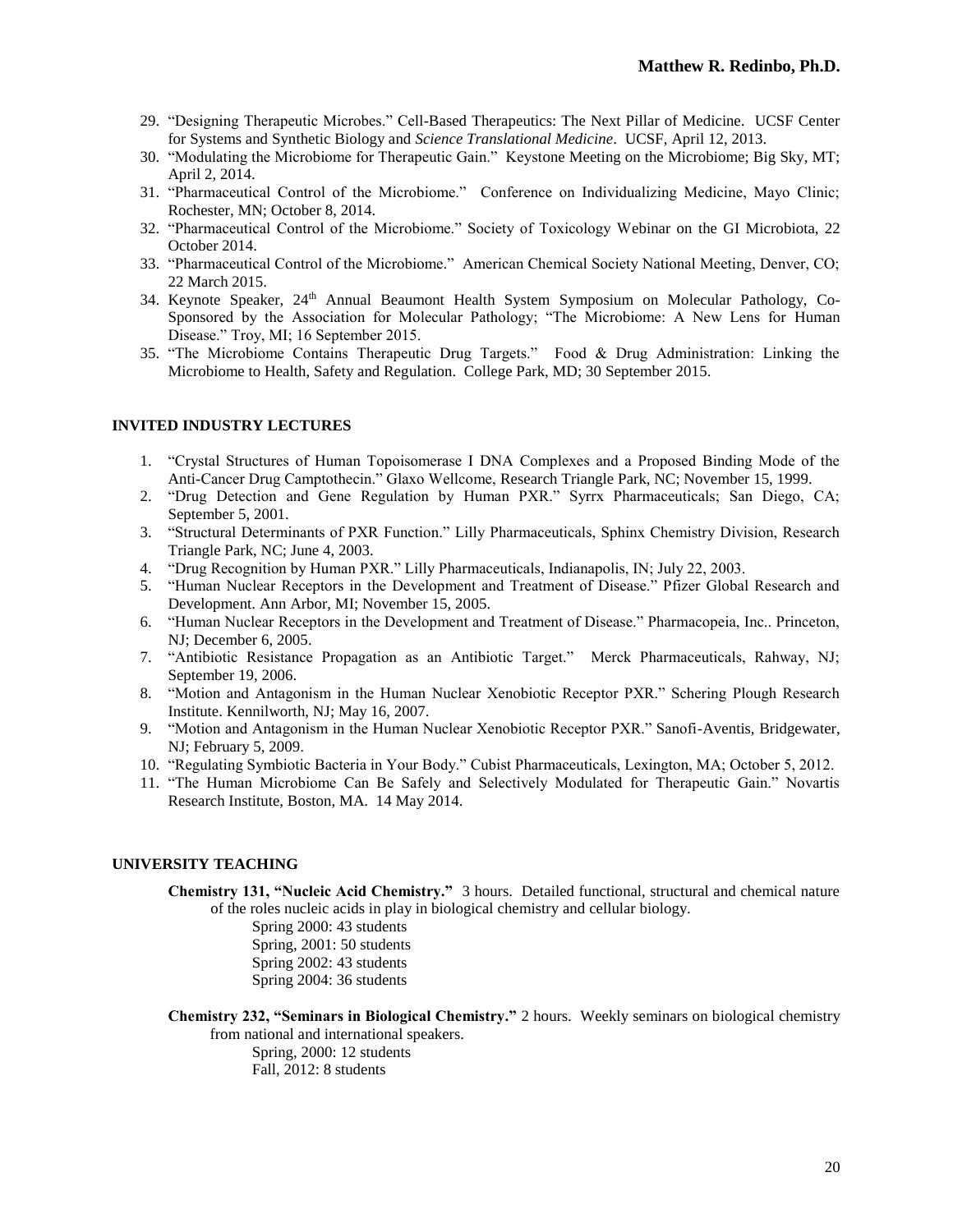- 29. "Designing Therapeutic Microbes." Cell-Based Therapeutics: The Next Pillar of Medicine. UCSF Center for Systems and Synthetic Biology and *Science Translational Medicine*. UCSF, April 12, 2013.
- 30. "Modulating the Microbiome for Therapeutic Gain." Keystone Meeting on the Microbiome; Big Sky, MT; April 2, 2014.
- 31. "Pharmaceutical Control of the Microbiome." Conference on Individualizing Medicine, Mayo Clinic; Rochester, MN; October 8, 2014.
- 32. "Pharmaceutical Control of the Microbiome." Society of Toxicology Webinar on the GI Microbiota, 22 October 2014.
- 33. "Pharmaceutical Control of the Microbiome." American Chemical Society National Meeting, Denver, CO; 22 March 2015.
- 34. Keynote Speaker, 24<sup>th</sup> Annual Beaumont Health System Symposium on Molecular Pathology, Co-Sponsored by the Association for Molecular Pathology; "The Microbiome: A New Lens for Human Disease." Troy, MI; 16 September 2015.
- 35. "The Microbiome Contains Therapeutic Drug Targets." Food & Drug Administration: Linking the Microbiome to Health, Safety and Regulation. College Park, MD; 30 September 2015.

### **INVITED INDUSTRY LECTURES**

- 1. "Crystal Structures of Human Topoisomerase I DNA Complexes and a Proposed Binding Mode of the Anti-Cancer Drug Camptothecin." Glaxo Wellcome, Research Triangle Park, NC; November 15, 1999.
- 2. "Drug Detection and Gene Regulation by Human PXR." Syrrx Pharmaceuticals; San Diego, CA; September 5, 2001.
- 3. "Structural Determinants of PXR Function." Lilly Pharmaceuticals, Sphinx Chemistry Division, Research Triangle Park, NC; June 4, 2003.
- 4. "Drug Recognition by Human PXR." Lilly Pharmaceuticals, Indianapolis, IN; July 22, 2003.
- 5. "Human Nuclear Receptors in the Development and Treatment of Disease." Pfizer Global Research and Development. Ann Arbor, MI; November 15, 2005.
- 6. "Human Nuclear Receptors in the Development and Treatment of Disease." Pharmacopeia, Inc.. Princeton, NJ; December 6, 2005.
- 7. "Antibiotic Resistance Propagation as an Antibiotic Target." Merck Pharmaceuticals, Rahway, NJ; September 19, 2006.
- 8. "Motion and Antagonism in the Human Nuclear Xenobiotic Receptor PXR." Schering Plough Research Institute. Kennilworth, NJ; May 16, 2007.
- 9. "Motion and Antagonism in the Human Nuclear Xenobiotic Receptor PXR." Sanofi-Aventis, Bridgewater, NJ; February 5, 2009.
- 10. "Regulating Symbiotic Bacteria in Your Body." Cubist Pharmaceuticals, Lexington, MA; October 5, 2012.
- 11. "The Human Microbiome Can Be Safely and Selectively Modulated for Therapeutic Gain." Novartis Research Institute, Boston, MA. 14 May 2014.

### **UNIVERSITY TEACHING**

**Chemistry 131, "Nucleic Acid Chemistry."** 3 hours. Detailed functional, structural and chemical nature of the roles nucleic acids in play in biological chemistry and cellular biology.

> Spring 2000: 43 students Spring, 2001: 50 students Spring 2002: 43 students Spring 2004: 36 students

**Chemistry 232, "Seminars in Biological Chemistry."** 2 hours. Weekly seminars on biological chemistry from national and international speakers.

> Spring, 2000: 12 students Fall, 2012: 8 students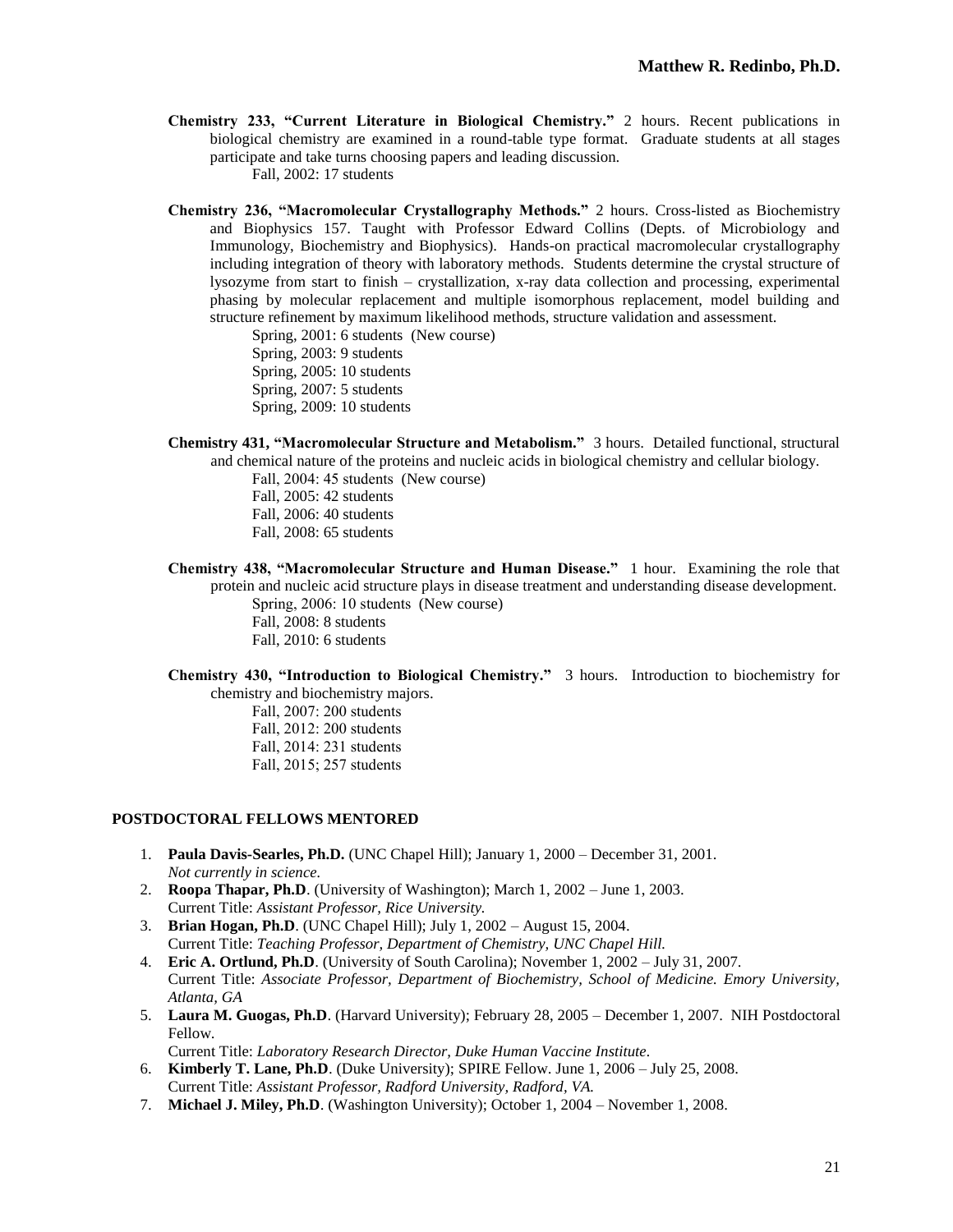**Chemistry 233, "Current Literature in Biological Chemistry."** 2 hours. Recent publications in biological chemistry are examined in a round-table type format. Graduate students at all stages participate and take turns choosing papers and leading discussion.

Fall, 2002: 17 students

**Chemistry 236, "Macromolecular Crystallography Methods."** 2 hours. Cross-listed as Biochemistry and Biophysics 157. Taught with Professor Edward Collins (Depts. of Microbiology and Immunology, Biochemistry and Biophysics). Hands-on practical macromolecular crystallography including integration of theory with laboratory methods. Students determine the crystal structure of lysozyme from start to finish – crystallization, x-ray data collection and processing, experimental phasing by molecular replacement and multiple isomorphous replacement, model building and structure refinement by maximum likelihood methods, structure validation and assessment.

> Spring, 2001: 6 students (New course) Spring, 2003: 9 students

- 
- Spring, 2005: 10 students
- Spring, 2007: 5 students
- Spring, 2009: 10 students
- **Chemistry 431, "Macromolecular Structure and Metabolism."** 3 hours. Detailed functional, structural and chemical nature of the proteins and nucleic acids in biological chemistry and cellular biology.
	- Fall, 2004: 45 students (New course) Fall, 2005: 42 students Fall, 2006: 40 students
	- Fall, 2008: 65 students
- **Chemistry 438, "Macromolecular Structure and Human Disease."** 1 hour. Examining the role that protein and nucleic acid structure plays in disease treatment and understanding disease development. Spring, 2006: 10 students (New course)
	- Fall, 2008: 8 students
	- Fall, 2010: 6 students
- **Chemistry 430, "Introduction to Biological Chemistry."** 3 hours. Introduction to biochemistry for chemistry and biochemistry majors.
	- Fall, 2007: 200 students
	- Fall, 2012: 200 students
	- Fall, 2014: 231 students
	- Fall, 2015; 257 students

### **POSTDOCTORAL FELLOWS MENTORED**

- 1. **Paula Davis-Searles, Ph.D.** (UNC Chapel Hill); January 1, 2000 December 31, 2001. *Not currently in science.*
- 2. **Roopa Thapar, Ph.D**. (University of Washington); March 1, 2002 June 1, 2003. Current Title: *Assistant Professor, Rice University.*
- 3. **Brian Hogan, Ph.D**. (UNC Chapel Hill); July 1, 2002 August 15, 2004. Current Title: *Teaching Professor, Department of Chemistry, UNC Chapel Hill.*
- 4. **Eric A. Ortlund, Ph.D**. (University of South Carolina); November 1, 2002 July 31, 2007. Current Title: *Associate Professor, Department of Biochemistry, School of Medicine. Emory University, Atlanta, GA*
- 5. **Laura M. Guogas, Ph.D**. (Harvard University); February 28, 2005 December 1, 2007. NIH Postdoctoral Fellow.

Current Title: *Laboratory Research Director, Duke Human Vaccine Institute.*

- 6. **Kimberly T. Lane, Ph.D**. (Duke University); SPIRE Fellow. June 1, 2006 July 25, 2008. Current Title: *Assistant Professor, Radford University, Radford, VA.*
- 7. **Michael J. Miley, Ph.D**. (Washington University); October 1, 2004 November 1, 2008.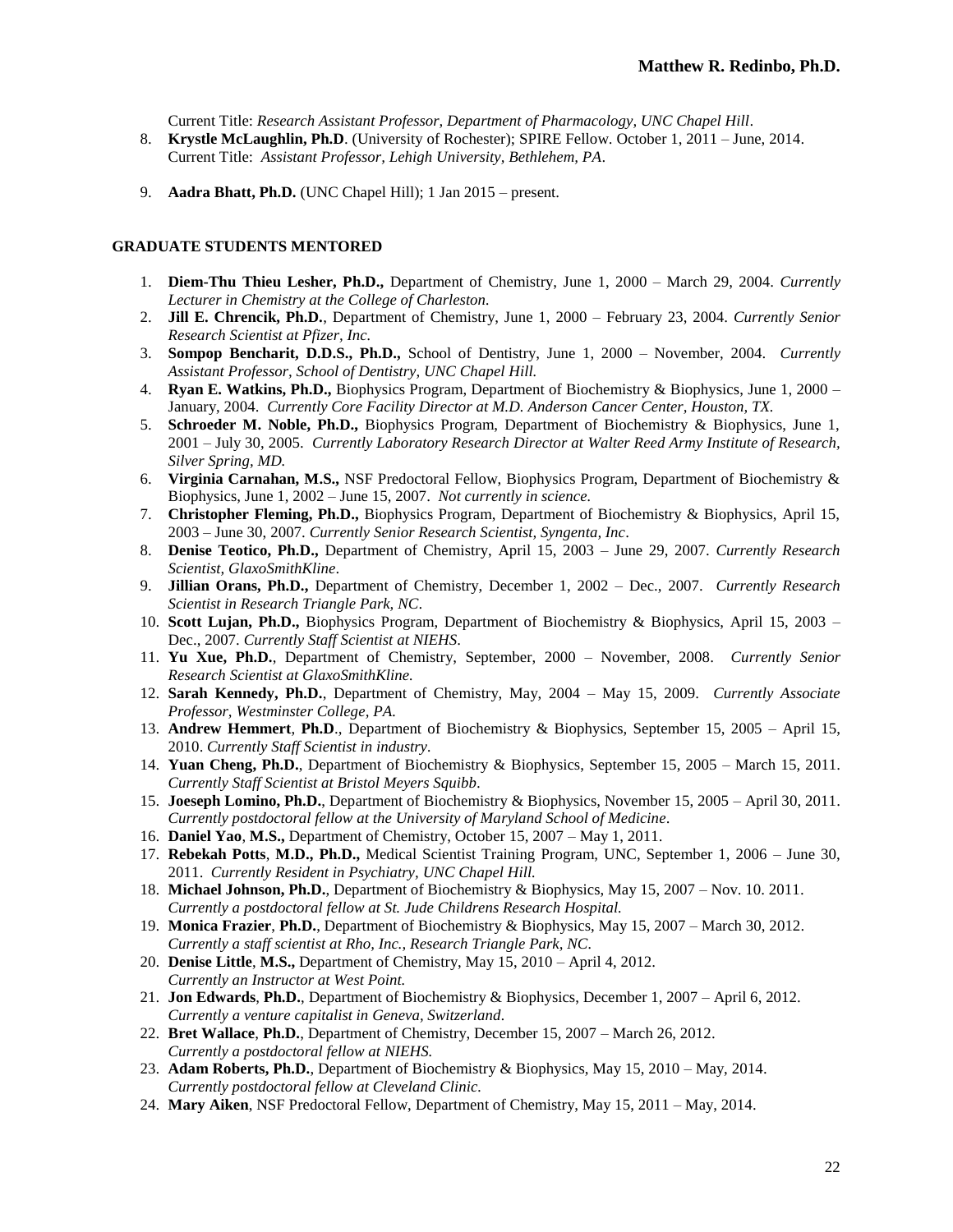Current Title: *Research Assistant Professor, Department of Pharmacology, UNC Chapel Hill*.

- 8. **Krystle McLaughlin, Ph.D**. (University of Rochester); SPIRE Fellow. October 1, 2011 June, 2014. Current Title: *Assistant Professor, Lehigh University, Bethlehem, PA*.
- 9. **Aadra Bhatt, Ph.D.** (UNC Chapel Hill); 1 Jan 2015 present.

### **GRADUATE STUDENTS MENTORED**

- 1. **Diem-Thu Thieu Lesher, Ph.D.,** Department of Chemistry, June 1, 2000 March 29, 2004. *Currently Lecturer in Chemistry at the College of Charleston.*
- 2. **Jill E. Chrencik, Ph.D.**, Department of Chemistry, June 1, 2000 February 23, 2004. *Currently Senior Research Scientist at Pfizer, Inc.*
- 3. **Sompop Bencharit, D.D.S., Ph.D.,** School of Dentistry, June 1, 2000 November, 2004. *Currently Assistant Professor, School of Dentistry, UNC Chapel Hill.*
- 4. **Ryan E. Watkins, Ph.D.,** Biophysics Program, Department of Biochemistry & Biophysics, June 1, 2000 January, 2004. *Currently Core Facility Director at M.D. Anderson Cancer Center, Houston, TX.*
- 5. **Schroeder M. Noble, Ph.D.,** Biophysics Program, Department of Biochemistry & Biophysics, June 1, 2001 – July 30, 2005. *Currently Laboratory Research Director at Walter Reed Army Institute of Research, Silver Spring, MD.*
- 6. **Virginia Carnahan, M.S.,** NSF Predoctoral Fellow, Biophysics Program, Department of Biochemistry & Biophysics, June 1, 2002 – June 15, 2007. *Not currently in science.*
- 7. **Christopher Fleming, Ph.D.,** Biophysics Program, Department of Biochemistry & Biophysics, April 15, 2003 – June 30, 2007. *Currently Senior Research Scientist, Syngenta, Inc*.
- 8. **Denise Teotico, Ph.D.,** Department of Chemistry, April 15, 2003 June 29, 2007. *Currently Research Scientist, GlaxoSmithKline*.
- 9. **Jillian Orans, Ph.D.,** Department of Chemistry, December 1, 2002 Dec., 2007. *Currently Research Scientist in Research Triangle Park, NC*.
- 10. **Scott Lujan, Ph.D.,** Biophysics Program, Department of Biochemistry & Biophysics, April 15, 2003 Dec., 2007. *Currently Staff Scientist at NIEHS*.
- 11. **Yu Xue, Ph.D.**, Department of Chemistry, September, 2000 November, 2008. *Currently Senior Research Scientist at GlaxoSmithKline.*
- 12. **Sarah Kennedy, Ph.D.**, Department of Chemistry, May, 2004 May 15, 2009. *Currently Associate Professor, Westminster College, PA.*
- 13. **Andrew Hemmert**, **Ph.D**., Department of Biochemistry & Biophysics, September 15, 2005 April 15, 2010. *Currently Staff Scientist in industry.*
- 14. **Yuan Cheng, Ph.D.**, Department of Biochemistry & Biophysics, September 15, 2005 March 15, 2011. *Currently Staff Scientist at Bristol Meyers Squibb.*
- 15. **Joeseph Lomino, Ph.D.**, Department of Biochemistry & Biophysics, November 15, 2005 April 30, 2011. *Currently postdoctoral fellow at the University of Maryland School of Medicine*.
- 16. **Daniel Yao**, **M.S.,** Department of Chemistry, October 15, 2007 May 1, 2011.
- 17. **Rebekah Potts**, **M.D., Ph.D.,** Medical Scientist Training Program, UNC, September 1, 2006 June 30, 2011. *Currently Resident in Psychiatry, UNC Chapel Hill.*
- 18. **Michael Johnson, Ph.D.**, Department of Biochemistry & Biophysics, May 15, 2007 Nov. 10. 2011. *Currently a postdoctoral fellow at St. Jude Childrens Research Hospital.*
- 19. **Monica Frazier**, **Ph.D.**, Department of Biochemistry & Biophysics, May 15, 2007 March 30, 2012. *Currently a staff scientist at Rho, Inc., Research Triangle Park, NC.*
- 20. **Denise Little**, **M.S.,** Department of Chemistry, May 15, 2010 April 4, 2012. *Currently an Instructor at West Point.*
- 21. **Jon Edwards**, **Ph.D.**, Department of Biochemistry & Biophysics, December 1, 2007 April 6, 2012. *Currently a venture capitalist in Geneva, Switzerland.*
- 22. **Bret Wallace**, **Ph.D.**, Department of Chemistry, December 15, 2007 March 26, 2012. *Currently a postdoctoral fellow at NIEHS.*
- 23. **Adam Roberts, Ph.D.**, Department of Biochemistry & Biophysics, May 15, 2010 May, 2014. *Currently postdoctoral fellow at Cleveland Clinic.*
- 24. **Mary Aiken**, NSF Predoctoral Fellow, Department of Chemistry, May 15, 2011 May, 2014.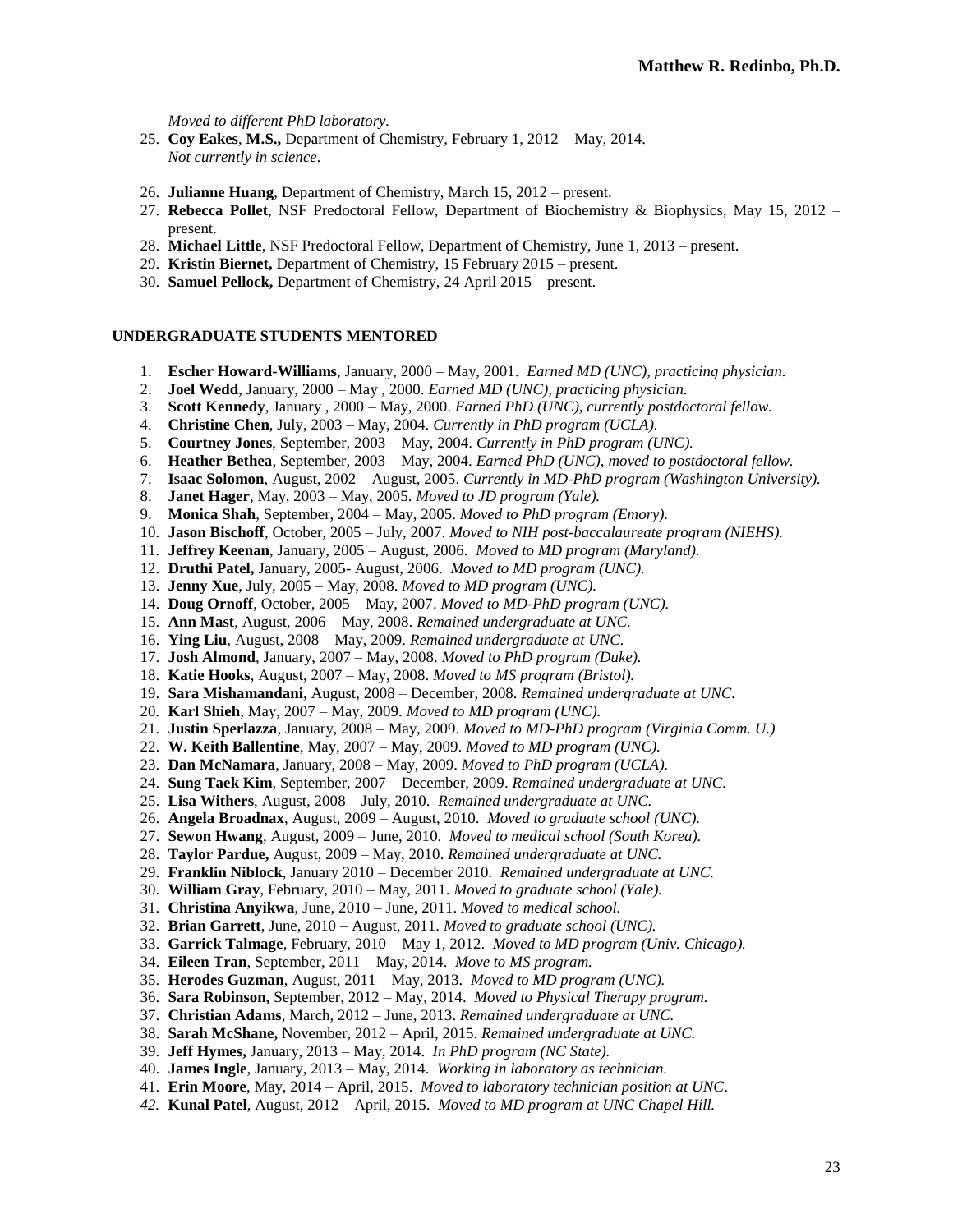*Moved to different PhD laboratory.*

- 25. **Coy Eakes**, **M.S.,** Department of Chemistry, February 1, 2012 May, 2014. *Not currently in science.*
- 26. **Julianne Huang**, Department of Chemistry, March 15, 2012 present.
- 27. **Rebecca Pollet**, NSF Predoctoral Fellow, Department of Biochemistry & Biophysics, May 15, 2012 present.
- 28. **Michael Little**, NSF Predoctoral Fellow, Department of Chemistry, June 1, 2013 present.
- 29. **Kristin Biernet,** Department of Chemistry, 15 February 2015 present.
- 30. **Samuel Pellock,** Department of Chemistry, 24 April 2015 present.

### **UNDERGRADUATE STUDENTS MENTORED**

- 1. **Escher Howard-Williams**, January, 2000 May, 2001. *Earned MD (UNC), practicing physician.*
- 2. **Joel Wedd**, January, 2000 May , 2000. *Earned MD (UNC), practicing physician.*
- 3. **Scott Kennedy**, January , 2000 May, 2000. *Earned PhD (UNC), currently postdoctoral fellow.*
- 4. **Christine Chen**, July, 2003 May, 2004. *Currently in PhD program (UCLA).*
- 5. **Courtney Jones**, September, 2003 May, 2004. *Currently in PhD program (UNC).*
- 6. **Heather Bethea**, September, 2003 May, 2004. *Earned PhD (UNC), moved to postdoctoral fellow.*
- 7. **Isaac Solomon**, August, 2002 August, 2005. *Currently in MD-PhD program (Washington University).*
- 8. **Janet Hager**, May, 2003 May, 2005. *Moved to JD program (Yale).*
- 9. **Monica Shah**, September, 2004 May, 2005. *Moved to PhD program (Emory).*
- 10. **Jason Bischoff**, October, 2005 July, 2007. *Moved to NIH post-baccalaureate program (NIEHS).*
- 11. **Jeffrey Keenan**, January, 2005 August, 2006. *Moved to MD program (Maryland).*
- 12. **Druthi Patel,** January, 2005- August, 2006. *Moved to MD program (UNC).*
- 13. **Jenny Xue**, July, 2005 May, 2008. *Moved to MD program (UNC).*
- 14. **Doug Ornoff**, October, 2005 May, 2007. *Moved to MD-PhD program (UNC).*
- 15. **Ann Mast**, August, 2006 May, 2008. *Remained undergraduate at UNC.*
- 16. **Ying Liu**, August, 2008 May, 2009. *Remained undergraduate at UNC.*
- 17. **Josh Almond**, January, 2007 May, 2008. *Moved to PhD program (Duke).*
- 18. **Katie Hooks**, August, 2007 May, 2008. *Moved to MS program (Bristol).*
- 19. **Sara Mishamandani**, August, 2008 December, 2008. *Remained undergraduate at UNC.*
- 20. **Karl Shieh**, May, 2007 May, 2009. *Moved to MD program (UNC).*
- 21. **Justin Sperlazza**, January, 2008 May, 2009. *Moved to MD-PhD program (Virginia Comm. U.)*
- 22. **W. Keith Ballentine**, May, 2007 May, 2009. *Moved to MD program (UNC).*
- 23. **Dan McNamara**, January, 2008 May, 2009. *Moved to PhD program (UCLA).*
- 24. **Sung Taek Kim**, September, 2007 December, 2009. *Remained undergraduate at UNC.*
- 25. **Lisa Withers**, August, 2008 July, 2010. *Remained undergraduate at UNC.*
- 26. **Angela Broadnax**, August, 2009 August, 2010. *Moved to graduate school (UNC).*
- 27. **Sewon Hwang**, August, 2009 June, 2010. *Moved to medical school (South Korea).*
- 28. **Taylor Pardue,** August, 2009 May, 2010. *Remained undergraduate at UNC.*
- 29. **Franklin Niblock**, January 2010 December 2010. *Remained undergraduate at UNC.*
- 30. **William Gray**, February, 2010 May, 2011. *Moved to graduate school (Yale).*
- 31. **Christina Anyikwa**, June, 2010 June, 2011. *Moved to medical school.*
- 32. **Brian Garrett**, June, 2010 August, 2011. *Moved to graduate school (UNC).*
- 33. **Garrick Talmage**, February, 2010 May 1, 2012. *Moved to MD program (Univ. Chicago).*
- 34. **Eileen Tran**, September, 2011 May, 2014. *Move to MS program.*
- 35. **Herodes Guzman**, August, 2011 May, 2013. *Moved to MD program (UNC).*
- 36. **Sara Robinson,** September, 2012 May, 2014. *Moved to Physical Therapy program.*
- 37. **Christian Adams**, March, 2012 June, 2013. *Remained undergraduate at UNC.*
- 38. **Sarah McShane,** November, 2012 April, 2015. *Remained undergraduate at UNC.*
- 39. **Jeff Hymes,** January, 2013 May, 2014. *In PhD program (NC State).*
- 40. **James Ingle**, January, 2013 May, 2014. *Working in laboratory as technician.*
- 41. **Erin Moore**, May, 2014 April, 2015. *Moved to laboratory technician position at UNC*.
- *42.* **Kunal Patel**, August, 2012 April, 2015. *Moved to MD program at UNC Chapel Hill.*